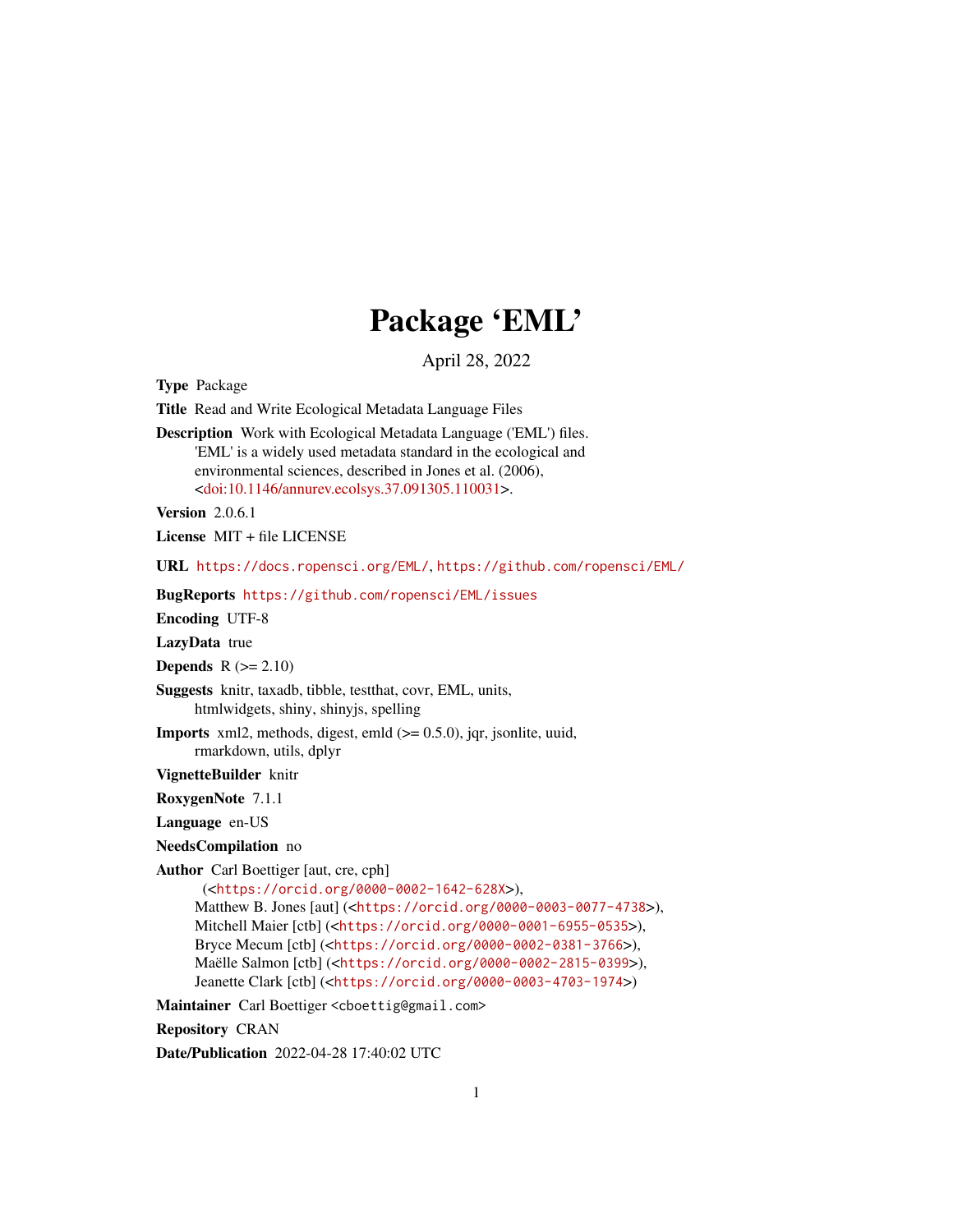# Package 'EML'

April 28, 2022

<span id="page-0-0"></span>Type Package

Title Read and Write Ecological Metadata Language Files

Description Work with Ecological Metadata Language ('EML') files. 'EML' is a widely used metadata standard in the ecological and environmental sciences, described in Jones et al. (2006), [<doi:10.1146/annurev.ecolsys.37.091305.110031>](https://doi.org/10.1146/annurev.ecolsys.37.091305.110031).

**Version** 2.0.6.1

License MIT + file LICENSE

URL <https://docs.ropensci.org/EML/>, <https://github.com/ropensci/EML/>

BugReports <https://github.com/ropensci/EML/issues>

Encoding UTF-8

LazyData true

**Depends**  $R$  ( $>= 2.10$ )

Suggests knitr, taxadb, tibble, testthat, covr, EML, units, htmlwidgets, shiny, shinyjs, spelling

**Imports** xml2, methods, digest, emld  $(>= 0.5.0)$ , jqr, jsonlite, uuid, rmarkdown, utils, dplyr

VignetteBuilder knitr

RoxygenNote 7.1.1

Language en-US

NeedsCompilation no

Author Carl Boettiger [aut, cre, cph]

(<<https://orcid.org/0000-0002-1642-628X>>), Matthew B. Jones [aut] (<<https://orcid.org/0000-0003-0077-4738>>), Mitchell Maier [ctb] (<<https://orcid.org/0000-0001-6955-0535>>), Bryce Mecum [ctb] (<<https://orcid.org/0000-0002-0381-3766>>), Maëlle Salmon [ctb] (<<https://orcid.org/0000-0002-2815-0399>>), Jeanette Clark [ctb] (<<https://orcid.org/0000-0003-4703-1974>>)

Maintainer Carl Boettiger <cboettig@gmail.com>

Repository CRAN

Date/Publication 2022-04-28 17:40:02 UTC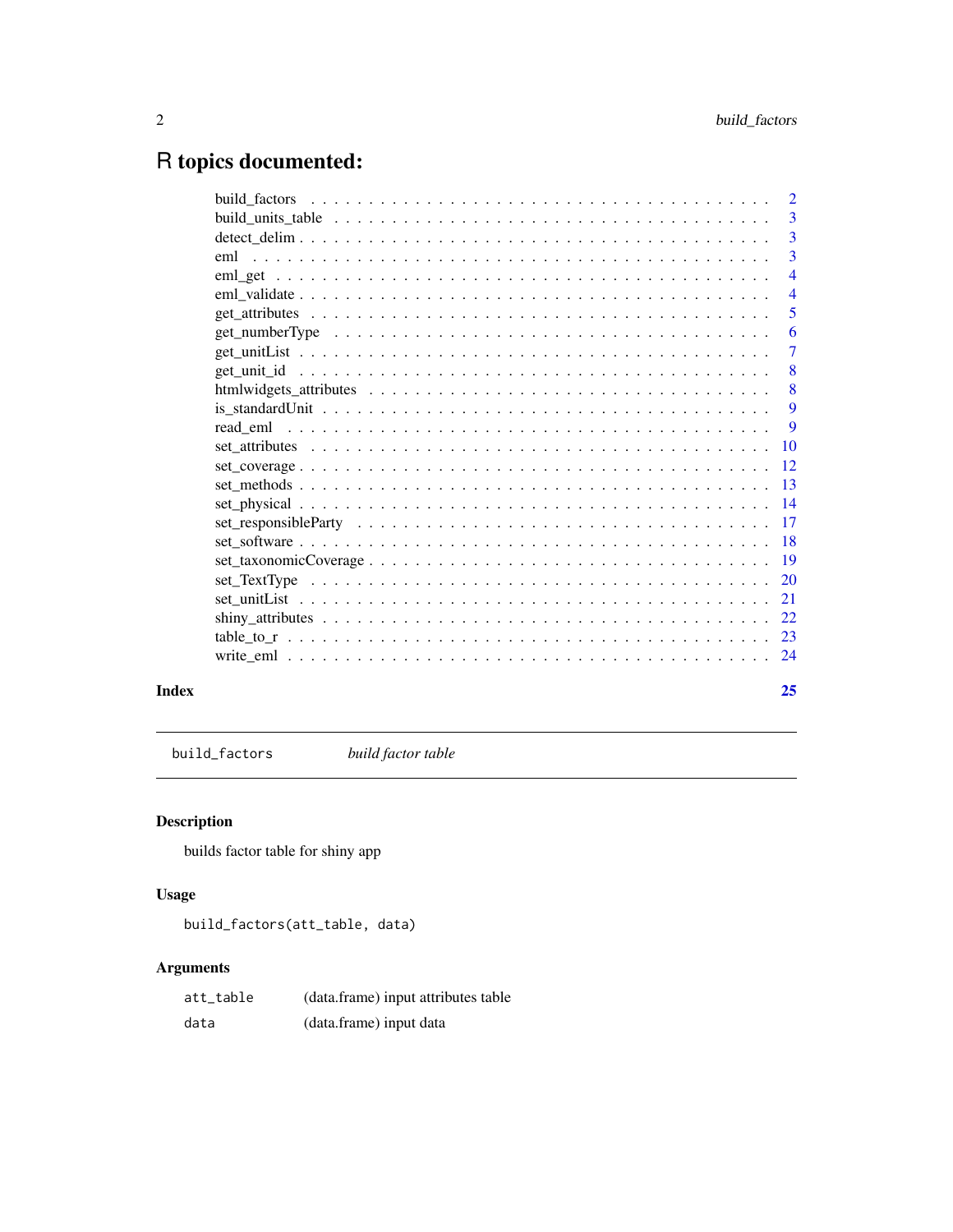## <span id="page-1-0"></span>R topics documented:

|       | $\overline{2}$           |
|-------|--------------------------|
|       |                          |
|       | -3                       |
|       | $\overline{\phantom{a}}$ |
|       | $\overline{4}$           |
|       | $\overline{4}$           |
|       | 5                        |
|       | 6                        |
|       | $\overline{7}$           |
|       | 8                        |
|       | $\sqrt{8}$               |
|       | 9                        |
|       |                          |
|       |                          |
|       |                          |
|       |                          |
|       |                          |
|       |                          |
|       |                          |
|       |                          |
|       |                          |
|       |                          |
|       |                          |
|       |                          |
|       |                          |
| Index | 25                       |

build\_factors *build factor table*

## Description

builds factor table for shiny app

#### Usage

build\_factors(att\_table, data)

| att_table | (data.frame) input attributes table |
|-----------|-------------------------------------|
| data      | (data.frame) input data             |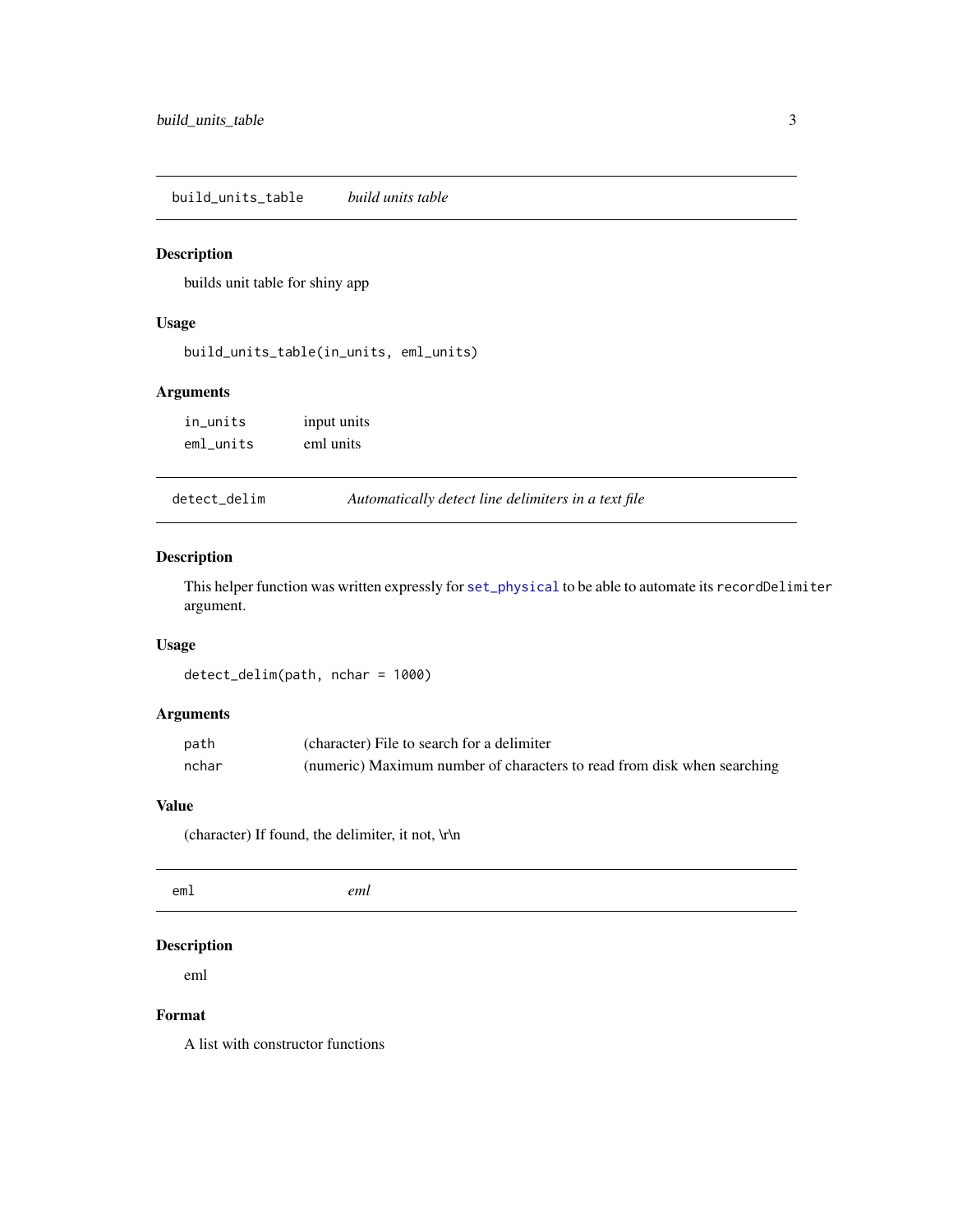<span id="page-2-0"></span>build\_units\_table *build units table*

#### Description

builds unit table for shiny app

#### Usage

build\_units\_table(in\_units, eml\_units)

#### Arguments

| in_units  | input units |
|-----------|-------------|
| eml units | eml units   |

| detect_delim | Automatically detect line delimiters in a text file |  |
|--------------|-----------------------------------------------------|--|
|              |                                                     |  |

#### Description

This helper function was written expressly for [set\\_physical](#page-13-1) to be able to automate its recordDelimiter argument.

## Usage

detect\_delim(path, nchar = 1000)

#### Arguments

| path  | (character) File to search for a delimiter                              |
|-------|-------------------------------------------------------------------------|
| nchar | (numeric) Maximum number of characters to read from disk when searching |

#### Value

(character) If found, the delimiter, it not, \r\n

#### Description

eml

#### Format

A list with constructor functions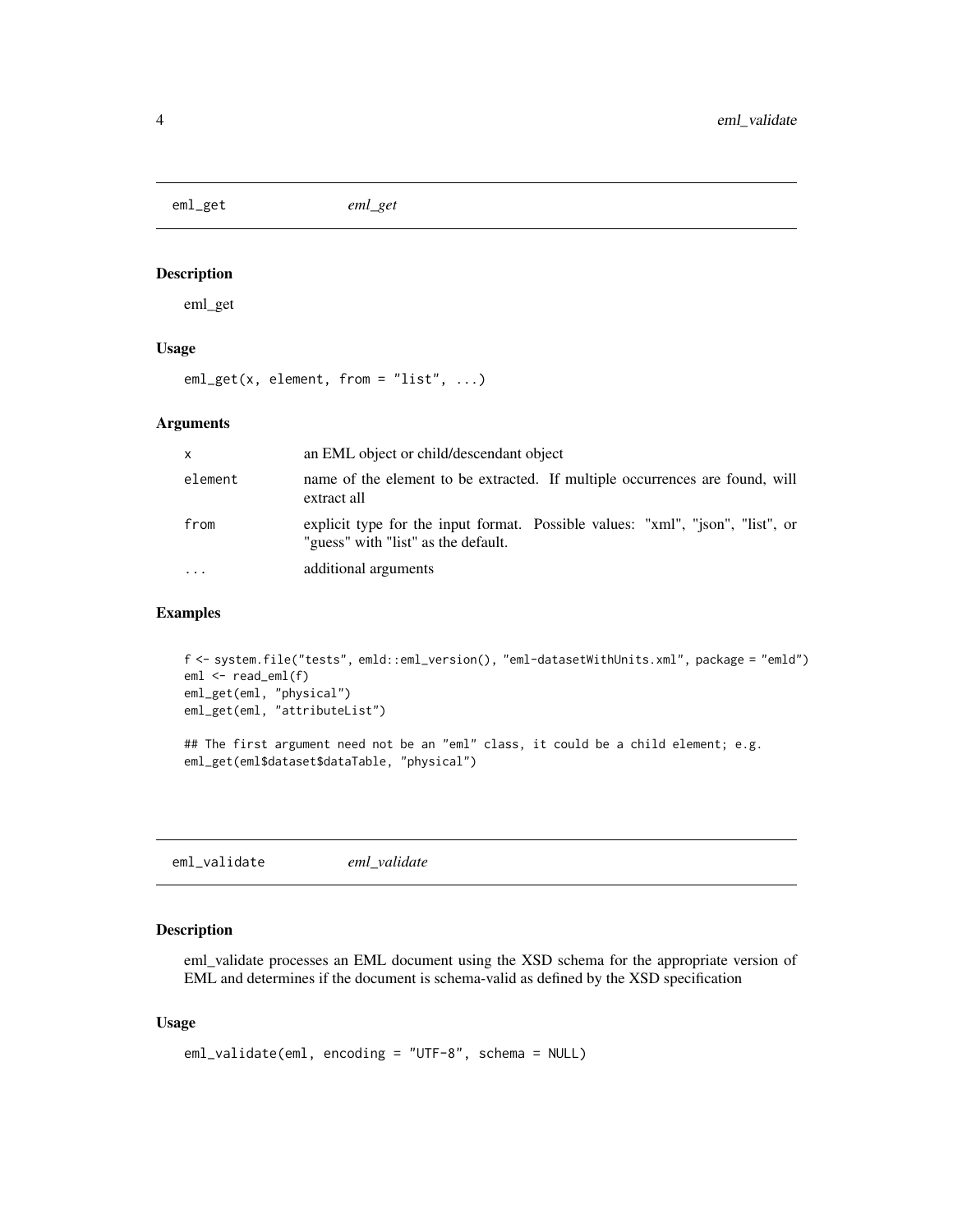<span id="page-3-0"></span>eml\_get *eml\_get*

#### Description

eml\_get

#### Usage

eml\_get(x, element, from = "list", ...)

#### Arguments

| X        | an EML object or child/descendant object                                                                              |
|----------|-----------------------------------------------------------------------------------------------------------------------|
| element  | name of the element to be extracted. If multiple occurrences are found, will<br>extract all                           |
| from     | explicit type for the input format. Possible values: "xml", "json", "list", or<br>"guess" with "list" as the default. |
| $\cdots$ | additional arguments                                                                                                  |

#### Examples

```
f <- system.file("tests", emld::eml_version(), "eml-datasetWithUnits.xml", package = "emld")
eml <- read_eml(f)
eml_get(eml, "physical")
eml_get(eml, "attributeList")
## The first argument need not be an "eml" class, it could be a child element; e.g.
eml_get(eml$dataset$dataTable, "physical")
```
eml\_validate *eml\_validate*

#### Description

eml\_validate processes an EML document using the XSD schema for the appropriate version of EML and determines if the document is schema-valid as defined by the XSD specification

#### Usage

```
eml_validate(eml, encoding = "UTF-8", schema = NULL)
```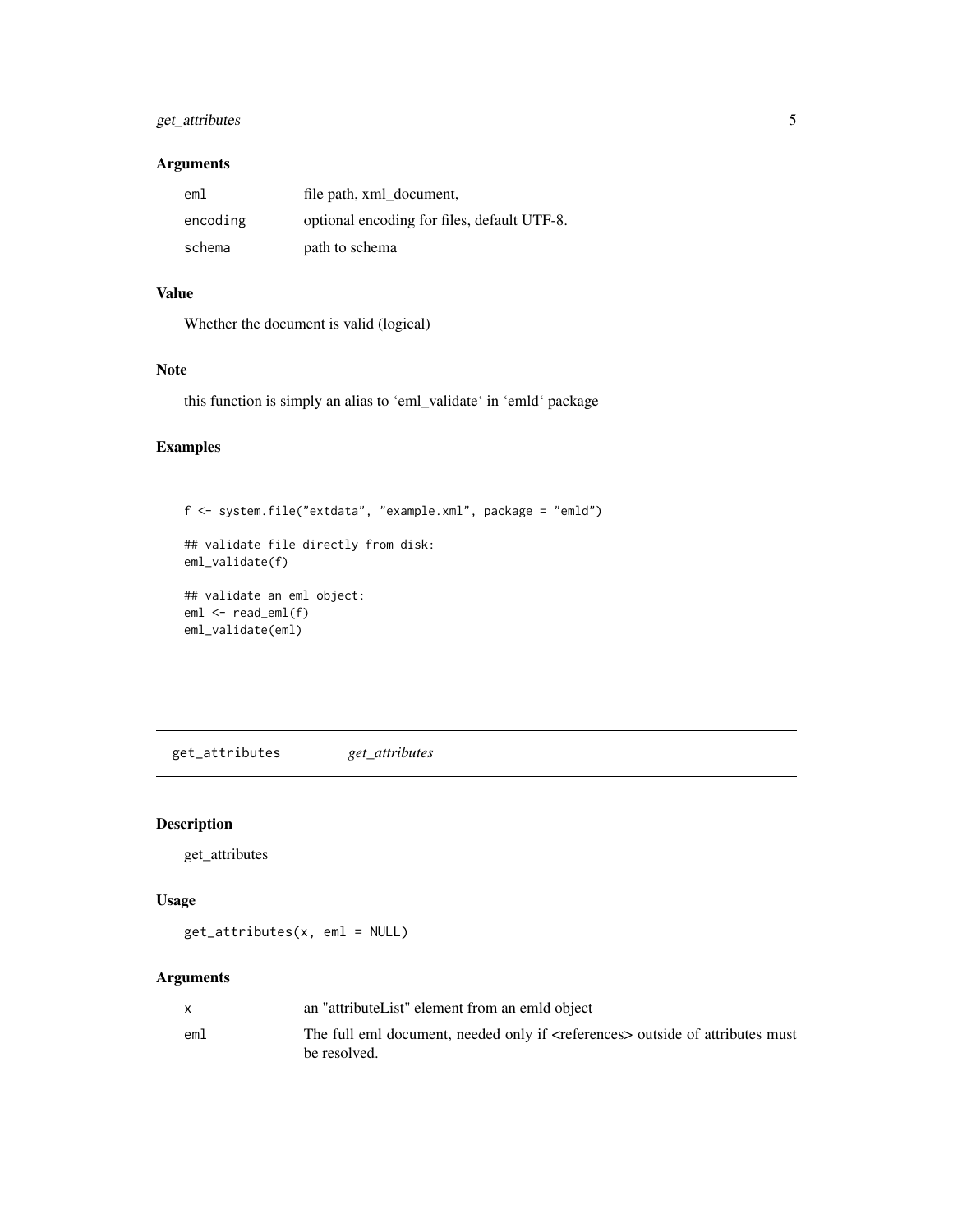#### <span id="page-4-0"></span>get\_attributes 5

#### Arguments

| eml      | file path, xml document,                    |
|----------|---------------------------------------------|
| encoding | optional encoding for files, default UTF-8. |
| schema   | path to schema                              |

#### Value

Whether the document is valid (logical)

#### Note

this function is simply an alias to 'eml\_validate' in 'emld' package

#### Examples

```
f <- system.file("extdata", "example.xml", package = "emld")
## validate file directly from disk:
eml_validate(f)
## validate an eml object:
eml <- read_eml(f)
eml_validate(eml)
```
get\_attributes *get\_attributes*

#### Description

get\_attributes

#### Usage

get\_attributes(x, eml = NULL)

|     | an "attributeList" element from an emild object                                                             |
|-----|-------------------------------------------------------------------------------------------------------------|
| eml | The full eml document, needed only if <references> outside of attributes must<br/>be resolved.</references> |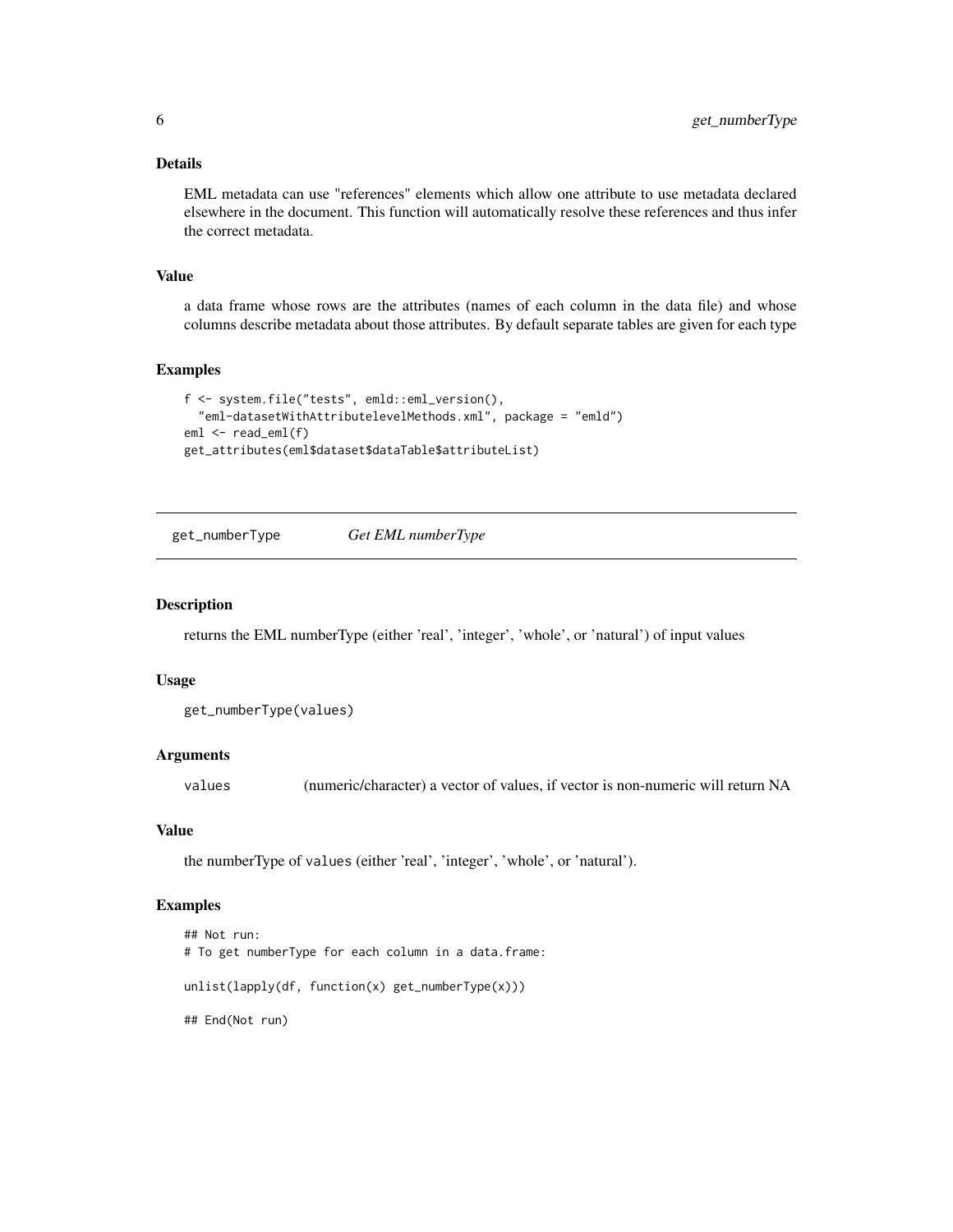#### <span id="page-5-0"></span>Details

EML metadata can use "references" elements which allow one attribute to use metadata declared elsewhere in the document. This function will automatically resolve these references and thus infer the correct metadata.

#### Value

a data frame whose rows are the attributes (names of each column in the data file) and whose columns describe metadata about those attributes. By default separate tables are given for each type

#### Examples

```
f <- system.file("tests", emld::eml_version(),
  "eml-datasetWithAttributelevelMethods.xml", package = "emld")
eml <- read_eml(f)
get_attributes(eml$dataset$dataTable$attributeList)
```
get\_numberType *Get EML numberType*

#### Description

returns the EML numberType (either 'real', 'integer', 'whole', or 'natural') of input values

#### Usage

```
get_numberType(values)
```
#### Arguments

values (numeric/character) a vector of values, if vector is non-numeric will return NA

#### Value

the numberType of values (either 'real', 'integer', 'whole', or 'natural').

#### Examples

```
## Not run:
# To get numberType for each column in a data.frame:
unlist(lapply(df, function(x) get_numberType(x)))
## End(Not run)
```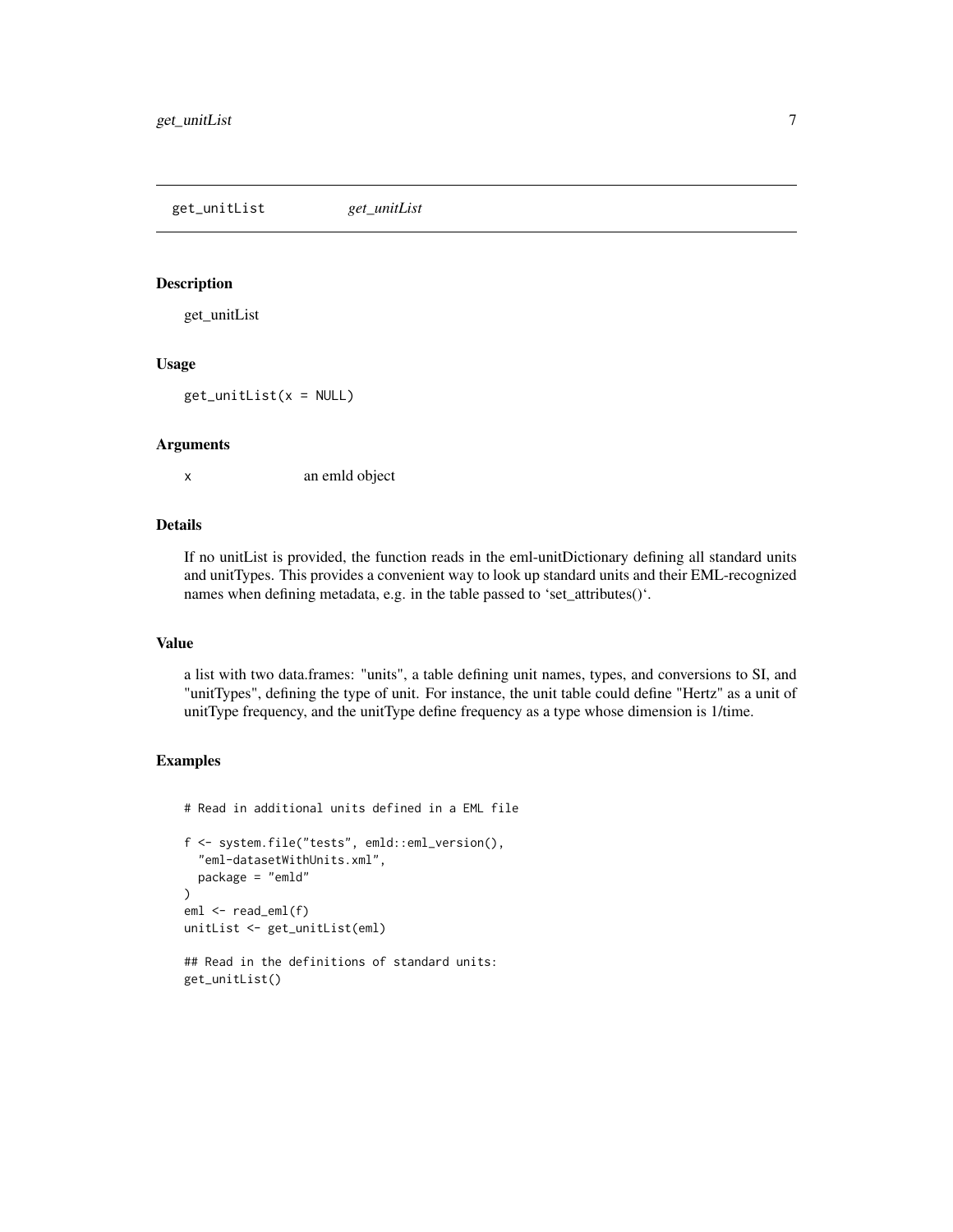<span id="page-6-0"></span>get\_unitList *get\_unitList*

#### Description

get\_unitList

#### Usage

 $get\_unitList(x = NULL)$ 

#### Arguments

x an emld object

#### Details

If no unitList is provided, the function reads in the eml-unitDictionary defining all standard units and unitTypes. This provides a convenient way to look up standard units and their EML-recognized names when defining metadata, e.g. in the table passed to 'set\_attributes()'.

#### Value

a list with two data.frames: "units", a table defining unit names, types, and conversions to SI, and "unitTypes", defining the type of unit. For instance, the unit table could define "Hertz" as a unit of unitType frequency, and the unitType define frequency as a type whose dimension is 1/time.

#### Examples

# Read in additional units defined in a EML file f <- system.file("tests", emld::eml\_version(), "eml-datasetWithUnits.xml", package = "emld"  $\mathcal{L}$ eml <- read\_eml(f) unitList <- get\_unitList(eml)

## Read in the definitions of standard units: get\_unitList()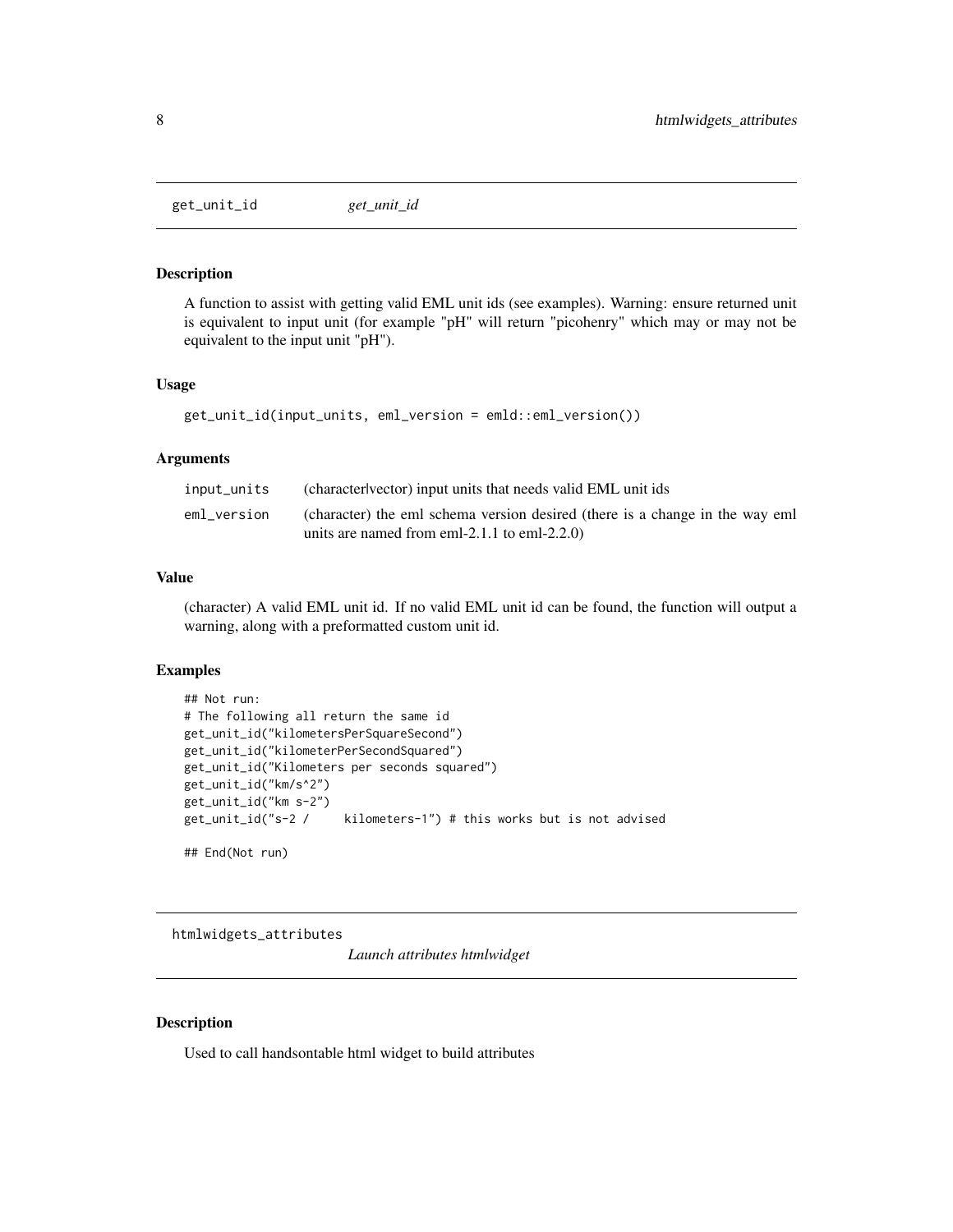<span id="page-7-0"></span>get\_unit\_id *get\_unit\_id*

#### Description

A function to assist with getting valid EML unit ids (see examples). Warning: ensure returned unit is equivalent to input unit (for example "pH" will return "picohenry" which may or may not be equivalent to the input unit "pH").

#### Usage

get\_unit\_id(input\_units, eml\_version = emld::eml\_version())

#### Arguments

| input_units | (character vector) input units that needs valid EML unit ids                                                                 |
|-------------|------------------------------------------------------------------------------------------------------------------------------|
| eml version | (character) the eml schema version desired (there is a change in the way eml<br>units are named from eml-2.1.1 to eml-2.2.0) |

#### Value

(character) A valid EML unit id. If no valid EML unit id can be found, the function will output a warning, along with a preformatted custom unit id.

#### Examples

```
## Not run:
# The following all return the same id
get_unit_id("kilometersPerSquareSecond")
get_unit_id("kilometerPerSecondSquared")
get_unit_id("Kilometers per seconds squared")
get_unit_id("km/s^2")
get_unit_id("km s-2")
get_unit_id("s-2 / kilometers-1") # this works but is not advised
```
## End(Not run)

htmlwidgets\_attributes

*Launch attributes htmlwidget*

#### Description

Used to call handsontable html widget to build attributes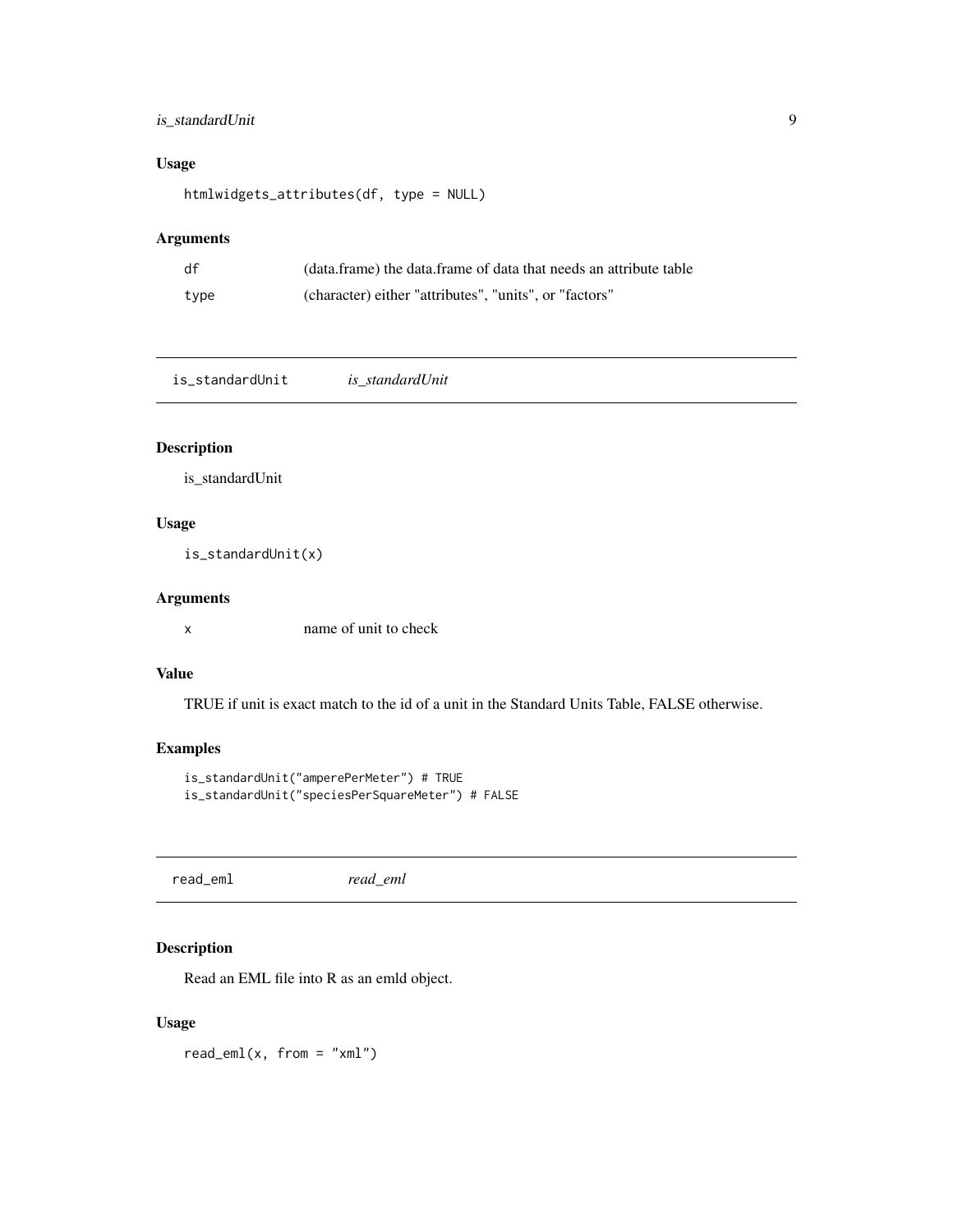#### <span id="page-8-0"></span>is\_standardUnit 9

#### Usage

htmlwidgets\_attributes(df, type = NULL)

#### Arguments

| df   | (data.frame) the data.frame of data that needs an attribute table |
|------|-------------------------------------------------------------------|
| type | (character) either "attributes", "units", or "factors"            |

is\_standardUnit *is\_standardUnit*

#### Description

is\_standardUnit

#### Usage

is\_standardUnit(x)

#### Arguments

x name of unit to check

#### Value

TRUE if unit is exact match to the id of a unit in the Standard Units Table, FALSE otherwise.

#### Examples

```
is_standardUnit("amperePerMeter") # TRUE
is_standardUnit("speciesPerSquareMeter") # FALSE
```
read\_eml *read\_eml*

#### Description

Read an EML file into R as an emld object.

#### Usage

 $read\_eml(x, from = "xml")$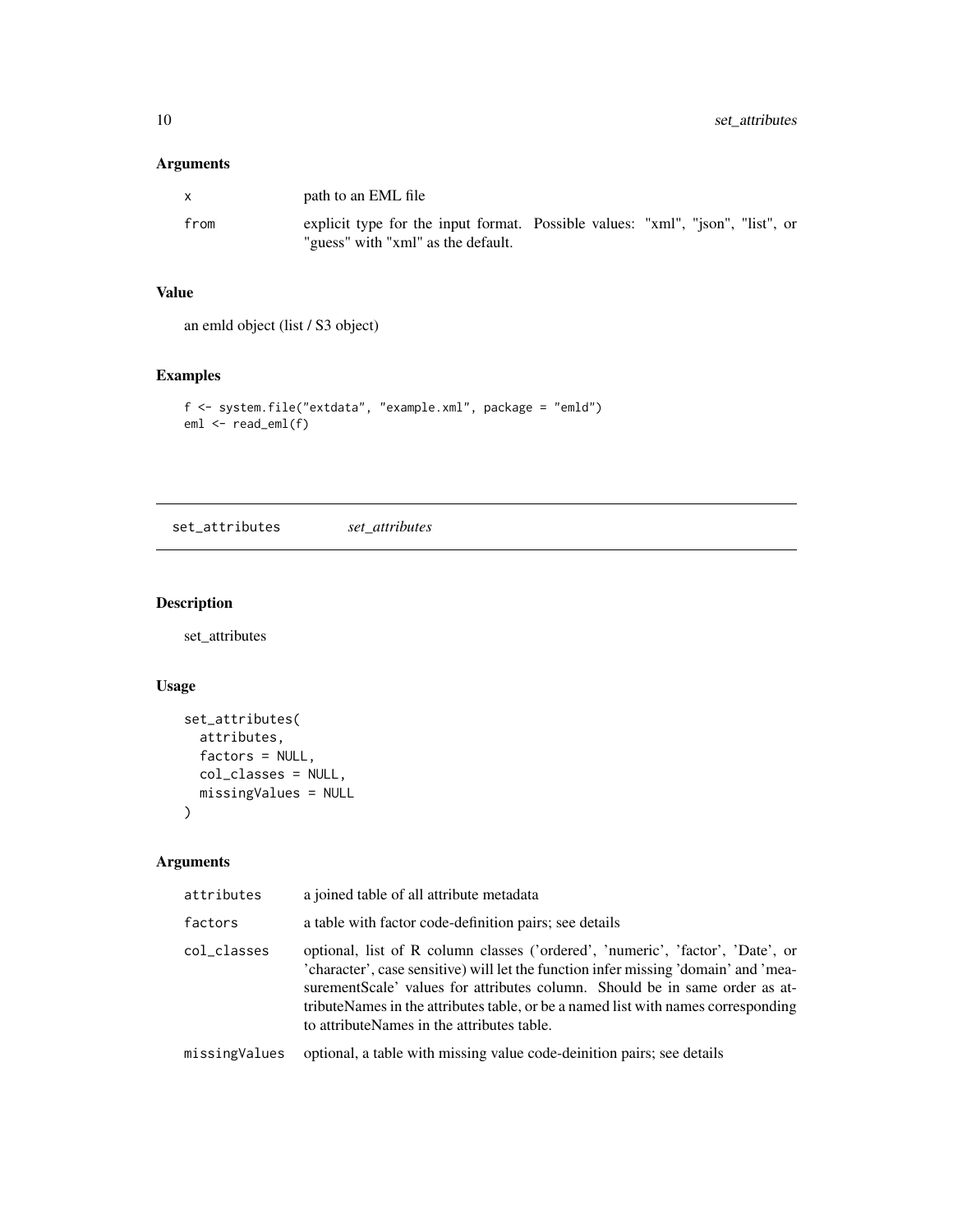#### <span id="page-9-0"></span>Arguments

| $\mathbf{x}$ | path to an EML file                                                                                                  |  |  |
|--------------|----------------------------------------------------------------------------------------------------------------------|--|--|
| from         | explicit type for the input format. Possible values: "xml", "json", "list", or<br>"guess" with "xml" as the default. |  |  |

#### Value

an emld object (list / S3 object)

#### Examples

```
f <- system.file("extdata", "example.xml", package = "emld")
eml <- read_eml(f)
```
set\_attributes *set\_attributes*

#### Description

set\_attributes

#### Usage

```
set_attributes(
  attributes,
  factors = NULL,
  col_classes = NULL,
  missingValues = NULL
\mathcal{L}
```

| attributes    | a joined table of all attribute metadata                                                                                                                                                                                                                                                                                                                                                 |
|---------------|------------------------------------------------------------------------------------------------------------------------------------------------------------------------------------------------------------------------------------------------------------------------------------------------------------------------------------------------------------------------------------------|
| factors       | a table with factor code-definition pairs; see details                                                                                                                                                                                                                                                                                                                                   |
| col_classes   | optional, list of R column classes ('ordered', 'numeric', 'factor', 'Date', or<br>'character', case sensitive) will let the function infer missing 'domain' and 'mea-<br>surementScale' values for attributes column. Should be in same order as at-<br>tributeNames in the attributes table, or be a named list with names corresponding<br>to attribute Names in the attributes table. |
| missingValues | optional, a table with missing value code-deinition pairs; see details                                                                                                                                                                                                                                                                                                                   |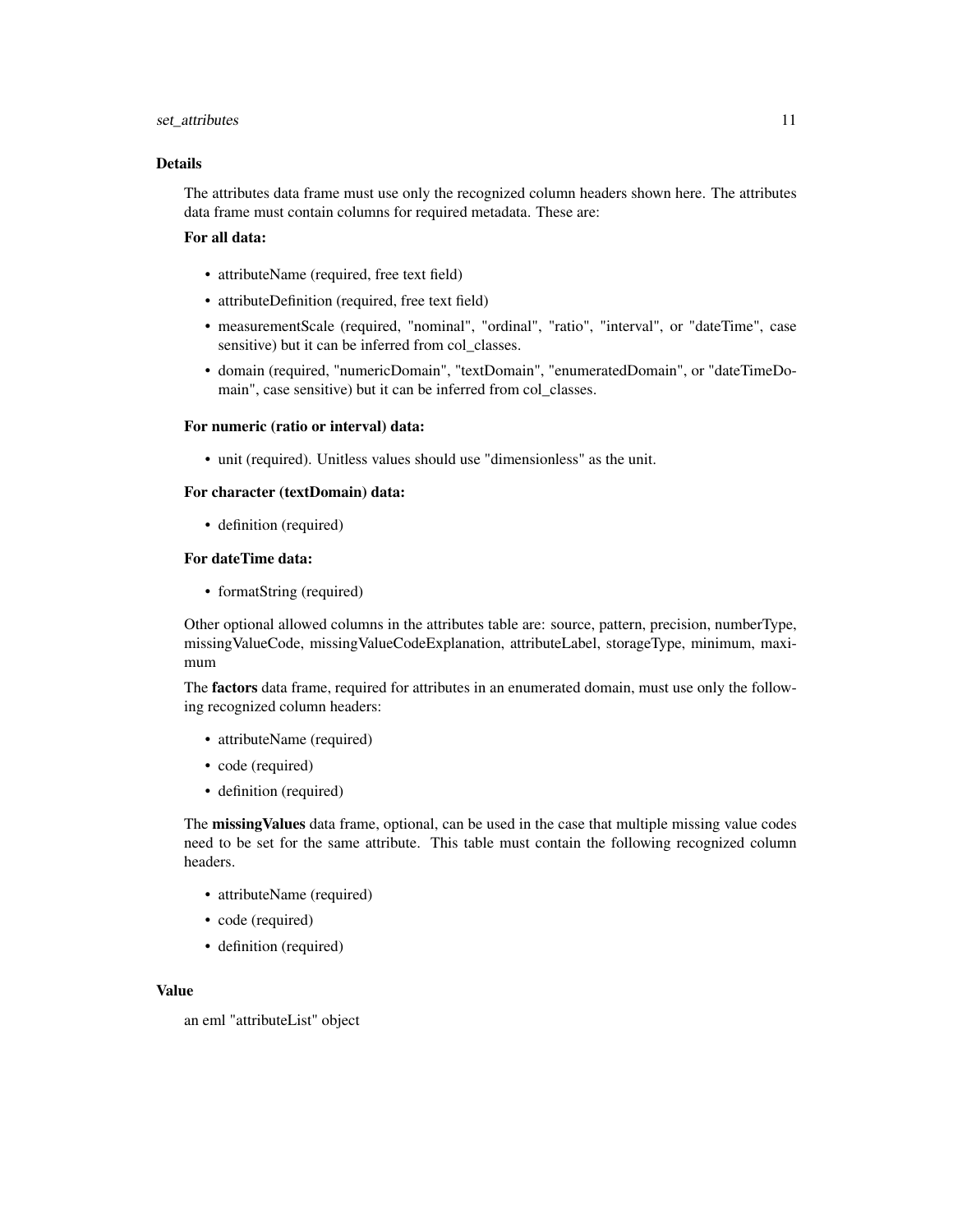#### set\_attributes 11

#### Details

The attributes data frame must use only the recognized column headers shown here. The attributes data frame must contain columns for required metadata. These are:

#### For all data:

- attributeName (required, free text field)
- attributeDefinition (required, free text field)
- measurementScale (required, "nominal", "ordinal", "ratio", "interval", or "dateTime", case sensitive) but it can be inferred from col classes.
- domain (required, "numericDomain", "textDomain", "enumeratedDomain", or "dateTimeDomain", case sensitive) but it can be inferred from col\_classes.

#### For numeric (ratio or interval) data:

• unit (required). Unitless values should use "dimensionless" as the unit.

#### For character (textDomain) data:

• definition (required)

#### For dateTime data:

• formatString (required)

Other optional allowed columns in the attributes table are: source, pattern, precision, numberType, missingValueCode, missingValueCodeExplanation, attributeLabel, storageType, minimum, maximum

The **factors** data frame, required for attributes in an enumerated domain, must use only the following recognized column headers:

- attributeName (required)
- code (required)
- definition (required)

The missingValues data frame, optional, can be used in the case that multiple missing value codes need to be set for the same attribute. This table must contain the following recognized column headers.

- attributeName (required)
- code (required)
- definition (required)

#### Value

an eml "attributeList" object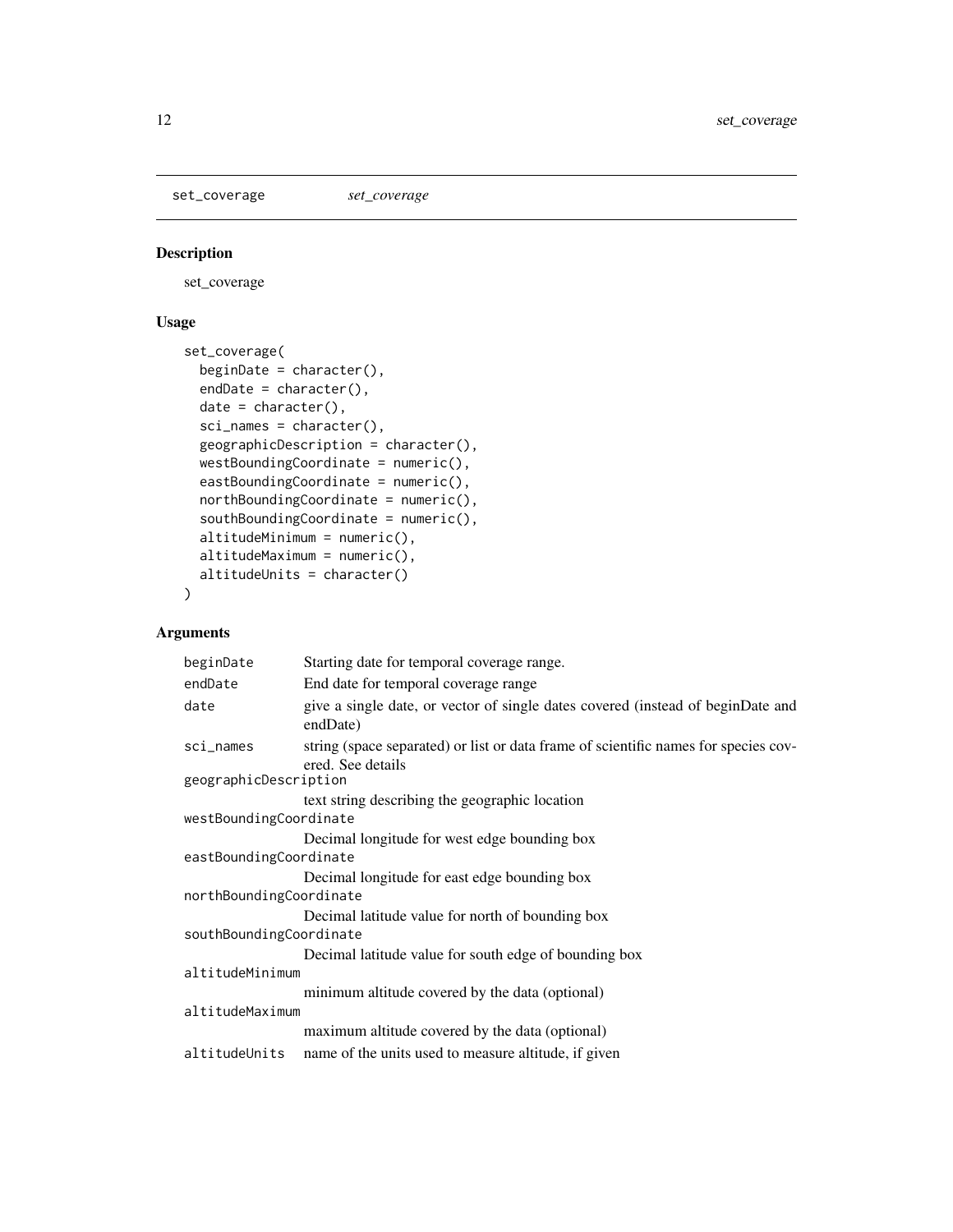<span id="page-11-0"></span>set\_coverage *set\_coverage*

#### Description

set\_coverage

#### Usage

```
set_coverage(
 beginDate = character(),
 endDate = character(),
 date = character(),
 sci_names = character(),
 geographicDescription = character(),
 westBoundingCoordinate = numeric(),
 eastBoundingCoordinate = numeric(),
 northBoundingCoordinate = numeric(),
  southBoundingCoordinate = numeric(),
 altitudeMinimum = numeric(),
 altitudeMaximum = numeric(),
 altitudeUnits = character()
)
```

| Starting date for temporal coverage range.                                                               |  |
|----------------------------------------------------------------------------------------------------------|--|
| End date for temporal coverage range                                                                     |  |
| give a single date, or vector of single dates covered (instead of beginDate and<br>endDate)              |  |
| string (space separated) or list or data frame of scientific names for species cov-<br>ered. See details |  |
| geographicDescription                                                                                    |  |
| text string describing the geographic location                                                           |  |
| westBoundingCoordinate                                                                                   |  |
| Decimal longitude for west edge bounding box                                                             |  |
| eastBoundingCoordinate                                                                                   |  |
| Decimal longitude for east edge bounding box                                                             |  |
| northBoundingCoordinate                                                                                  |  |
| Decimal latitude value for north of bounding box                                                         |  |
| southBoundingCoordinate                                                                                  |  |
| Decimal latitude value for south edge of bounding box                                                    |  |
| altitudeMinimum                                                                                          |  |
| minimum altitude covered by the data (optional)                                                          |  |
| altitudeMaximum                                                                                          |  |
| maximum altitude covered by the data (optional)                                                          |  |
| name of the units used to measure altitude, if given                                                     |  |
|                                                                                                          |  |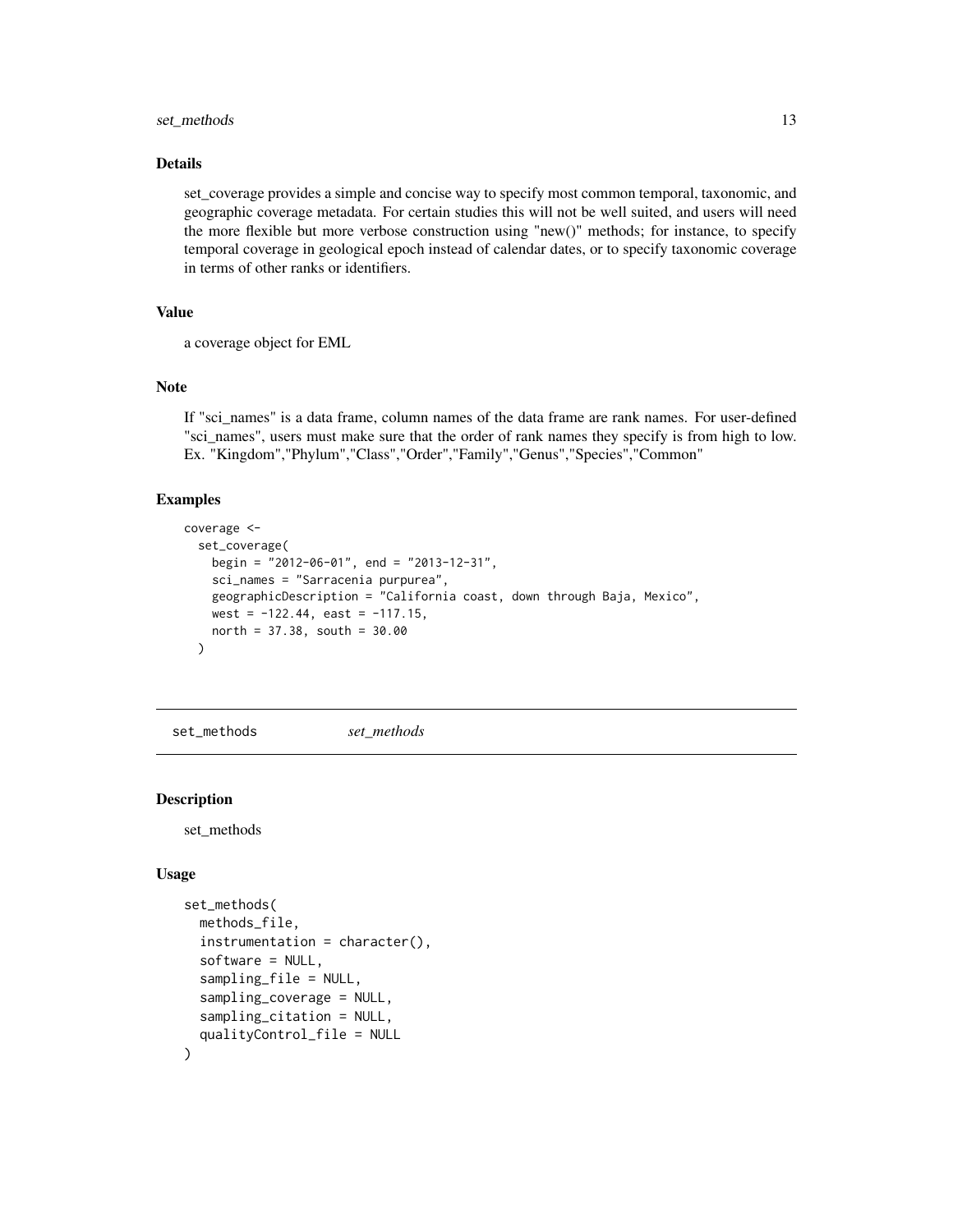#### <span id="page-12-0"></span>set\_methods 13

#### Details

set\_coverage provides a simple and concise way to specify most common temporal, taxonomic, and geographic coverage metadata. For certain studies this will not be well suited, and users will need the more flexible but more verbose construction using "new()" methods; for instance, to specify temporal coverage in geological epoch instead of calendar dates, or to specify taxonomic coverage in terms of other ranks or identifiers.

#### Value

a coverage object for EML

#### Note

If "sci\_names" is a data frame, column names of the data frame are rank names. For user-defined "sci\_names", users must make sure that the order of rank names they specify is from high to low. Ex. "Kingdom","Phylum","Class","Order","Family","Genus","Species","Common"

#### Examples

```
coverage <-
  set_coverage(
   begin = "2012-06-01", end = "2013-12-31",
    sci_names = "Sarracenia purpurea",
    geographicDescription = "California coast, down through Baja, Mexico",
   west = -122.44, east = -117.15,
   north = 37.38, south = 30.00
  )
```
set\_methods *set\_methods*

#### Description

set\_methods

#### Usage

```
set_methods(
  methods_file,
  instrumentation = character(),
  software = NULL,
  sampling_file = NULL,
  sampling_coverage = NULL,
  sampling_citation = NULL,
  qualityControl_file = NULL
)
```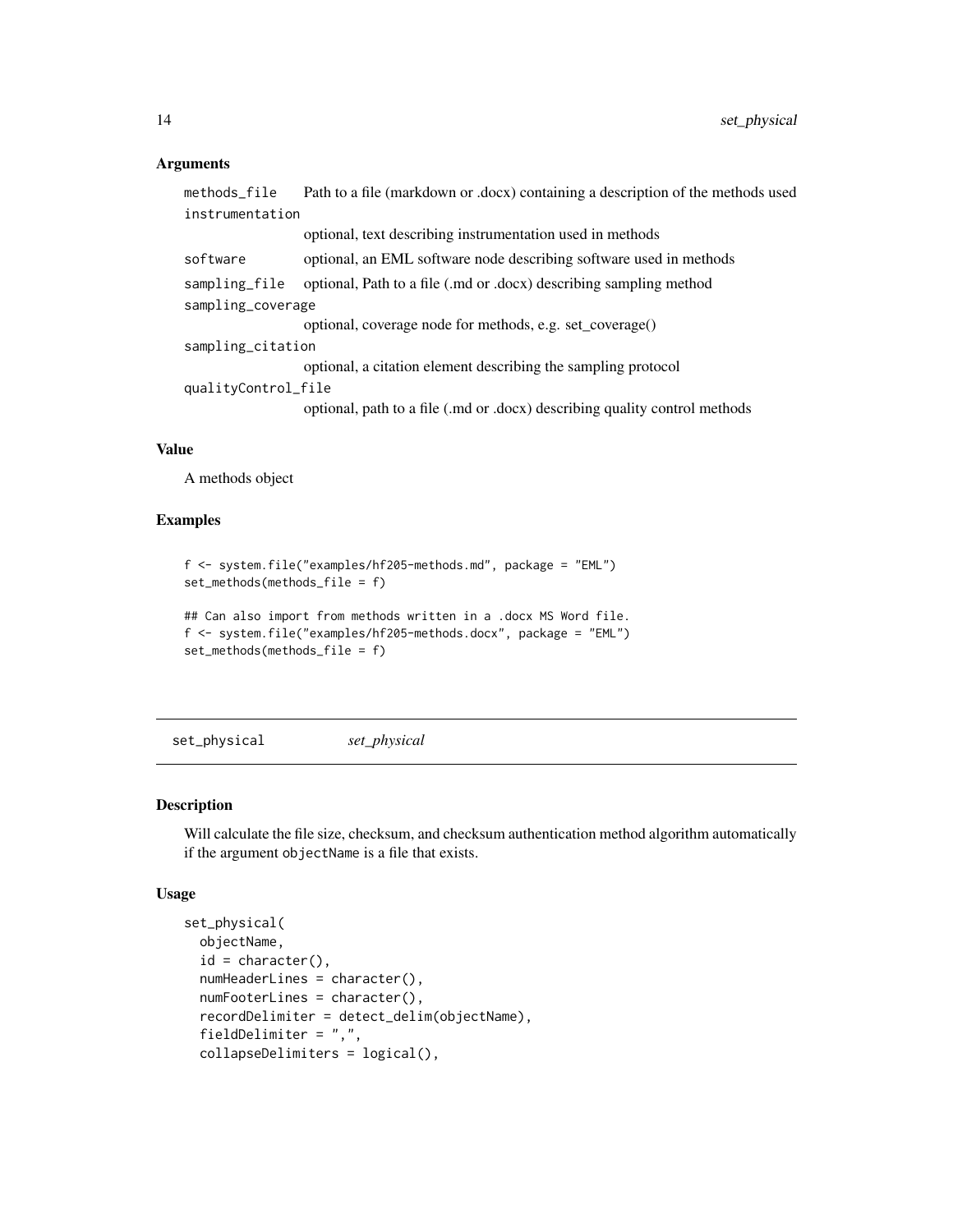#### <span id="page-13-0"></span>Arguments

```
methods_file Path to a file (markdown or .docx) containing a description of the methods used
instrumentation
                  optional, text describing instrumentation used in methods
software optional, an EML software node describing software used in methods
sampling_file optional, Path to a file (.md or .docx) describing sampling method
sampling_coverage
                  optional, coverage node for methods, e.g. set_coverage()
sampling_citation
                  optional, a citation element describing the sampling protocol
qualityControl_file
                  optional, path to a file (.md or .docx) describing quality control methods
```
#### Value

A methods object

#### Examples

```
f <- system.file("examples/hf205-methods.md", package = "EML")
set_methods(methods_file = f)
```

```
## Can also import from methods written in a .docx MS Word file.
f <- system.file("examples/hf205-methods.docx", package = "EML")
set_methods(methods_file = f)
```
<span id="page-13-1"></span>set\_physical *set\_physical*

#### Description

Will calculate the file size, checksum, and checksum authentication method algorithm automatically if the argument objectName is a file that exists.

#### Usage

```
set_physical(
  objectName,
  id = character(),
  numHeaderLines = character(),
  numFooterLines = character(),
  recordDelimiter = detect_delim(objectName),
  fieldDelimiter = ",",
  collapseDelimiters = logical(),
```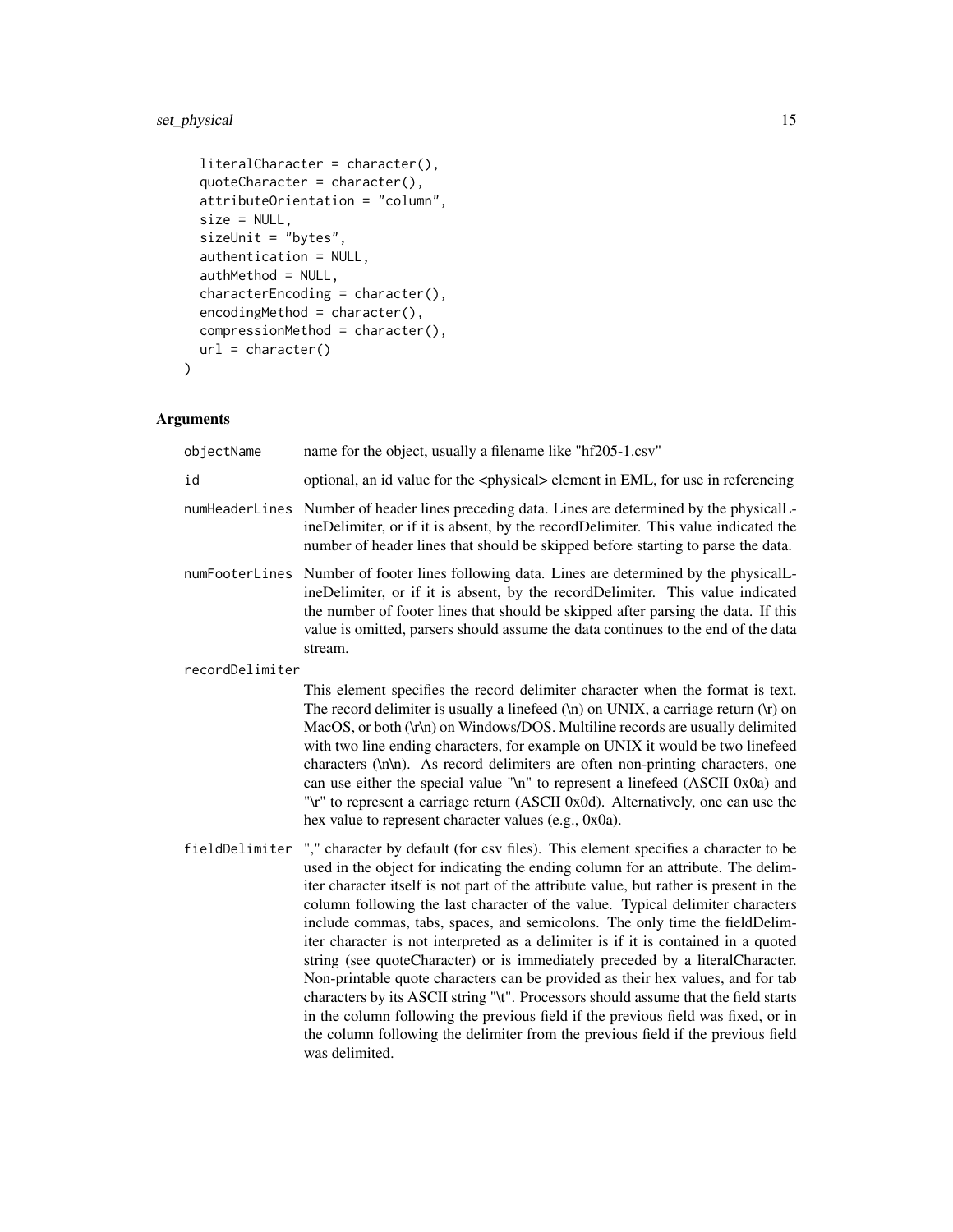#### set\_physical 15

```
literalCharacter = character(),
 quoteCharacter = character(),
 attributeOrientation = "column",
 size = NULL,
  sizeUnit = "bytes",
 authentication = NULL,
 authMethod = NULL,
 characterEncoding = character(),
 encodingMethod = character(),
 compressionMethod = character(),
 url = character()\mathcal{L}
```

| objectName      | name for the object, usually a filename like "hf205-1.csv"                                                                                                                                                                                                                                                                                                                                                                                                                                                                                                                                                                                                                                                                                                                                                                                                                                                                                                                    |
|-----------------|-------------------------------------------------------------------------------------------------------------------------------------------------------------------------------------------------------------------------------------------------------------------------------------------------------------------------------------------------------------------------------------------------------------------------------------------------------------------------------------------------------------------------------------------------------------------------------------------------------------------------------------------------------------------------------------------------------------------------------------------------------------------------------------------------------------------------------------------------------------------------------------------------------------------------------------------------------------------------------|
| id              | optional, an id value for the <physical> element in EML, for use in referencing</physical>                                                                                                                                                                                                                                                                                                                                                                                                                                                                                                                                                                                                                                                                                                                                                                                                                                                                                    |
|                 | numHeaderLines Number of header lines preceding data. Lines are determined by the physicalL-<br>ineDelimiter, or if it is absent, by the recordDelimiter. This value indicated the<br>number of header lines that should be skipped before starting to parse the data.                                                                                                                                                                                                                                                                                                                                                                                                                                                                                                                                                                                                                                                                                                        |
| numFooterLines  | Number of footer lines following data. Lines are determined by the physical L-<br>ineDelimiter, or if it is absent, by the recordDelimiter. This value indicated<br>the number of footer lines that should be skipped after parsing the data. If this<br>value is omitted, parsers should assume the data continues to the end of the data<br>stream.                                                                                                                                                                                                                                                                                                                                                                                                                                                                                                                                                                                                                         |
| recordDelimiter |                                                                                                                                                                                                                                                                                                                                                                                                                                                                                                                                                                                                                                                                                                                                                                                                                                                                                                                                                                               |
|                 | This element specifies the record delimiter character when the format is text.<br>The record delimiter is usually a linefeed $(\n)$ on UNIX, a carriage return $(\n)$ on<br>MacOS, or both (\r\n) on Windows/DOS. Multiline records are usually delimited<br>with two line ending characters, for example on UNIX it would be two linefeed<br>characters (\n\n). As record delimiters are often non-printing characters, one<br>can use either the special value "\n" to represent a linefeed (ASCII 0x0a) and<br>"\r" to represent a carriage return (ASCII 0x0d). Alternatively, one can use the<br>hex value to represent character values (e.g., 0x0a).                                                                                                                                                                                                                                                                                                                   |
| fieldDelimiter  | "," character by default (for csv files). This element specifies a character to be<br>used in the object for indicating the ending column for an attribute. The delim-<br>iter character itself is not part of the attribute value, but rather is present in the<br>column following the last character of the value. Typical delimiter characters<br>include commas, tabs, spaces, and semicolons. The only time the fieldDelim-<br>iter character is not interpreted as a delimiter is if it is contained in a quoted<br>string (see quoteCharacter) or is immediately preceded by a literalCharacter.<br>Non-printable quote characters can be provided as their hex values, and for tab<br>characters by its ASCII string "\t". Processors should assume that the field starts<br>in the column following the previous field if the previous field was fixed, or in<br>the column following the delimiter from the previous field if the previous field<br>was delimited. |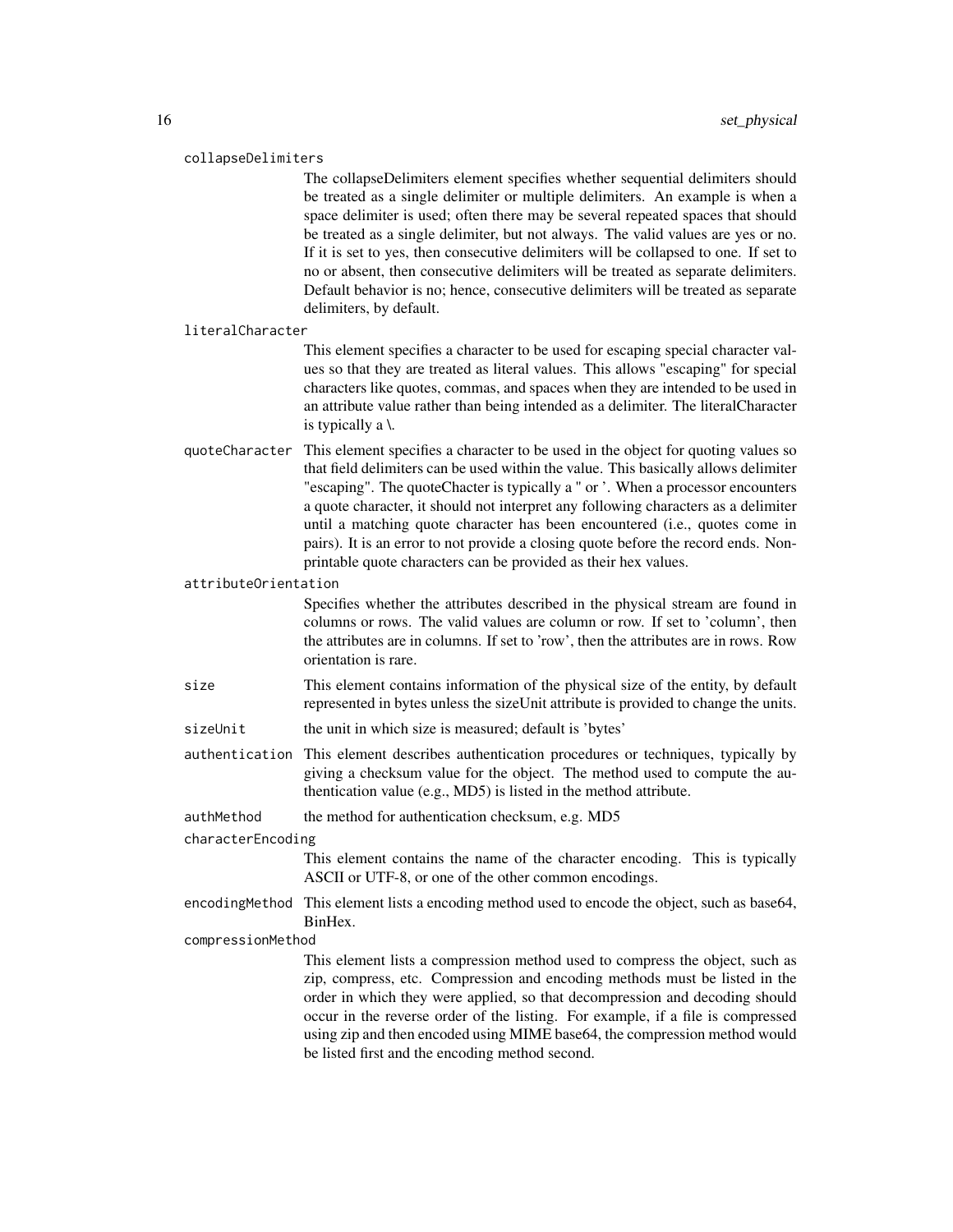#### collapseDelimiters

The collapseDelimiters element specifies whether sequential delimiters should be treated as a single delimiter or multiple delimiters. An example is when a space delimiter is used; often there may be several repeated spaces that should be treated as a single delimiter, but not always. The valid values are yes or no. If it is set to yes, then consecutive delimiters will be collapsed to one. If set to no or absent, then consecutive delimiters will be treated as separate delimiters. Default behavior is no; hence, consecutive delimiters will be treated as separate delimiters, by default.

#### literalCharacter

This element specifies a character to be used for escaping special character values so that they are treated as literal values. This allows "escaping" for special characters like quotes, commas, and spaces when they are intended to be used in an attribute value rather than being intended as a delimiter. The literalCharacter is typically a \.

quoteCharacter This element specifies a character to be used in the object for quoting values so that field delimiters can be used within the value. This basically allows delimiter "escaping". The quoteChacter is typically a " or '. When a processor encounters a quote character, it should not interpret any following characters as a delimiter until a matching quote character has been encountered (i.e., quotes come in pairs). It is an error to not provide a closing quote before the record ends. Nonprintable quote characters can be provided as their hex values.

attributeOrientation

Specifies whether the attributes described in the physical stream are found in columns or rows. The valid values are column or row. If set to 'column', then the attributes are in columns. If set to 'row', then the attributes are in rows. Row orientation is rare.

- size This element contains information of the physical size of the entity, by default represented in bytes unless the sizeUnit attribute is provided to change the units.
- sizeUnit the unit in which size is measured; default is 'bytes'
- authentication This element describes authentication procedures or techniques, typically by giving a checksum value for the object. The method used to compute the authentication value (e.g., MD5) is listed in the method attribute.

authMethod the method for authentication checksum, e.g. MD5

#### characterEncoding

This element contains the name of the character encoding. This is typically ASCII or UTF-8, or one of the other common encodings.

encodingMethod This element lists a encoding method used to encode the object, such as base64, BinHex.

compressionMethod

This element lists a compression method used to compress the object, such as zip, compress, etc. Compression and encoding methods must be listed in the order in which they were applied, so that decompression and decoding should occur in the reverse order of the listing. For example, if a file is compressed using zip and then encoded using MIME base64, the compression method would be listed first and the encoding method second.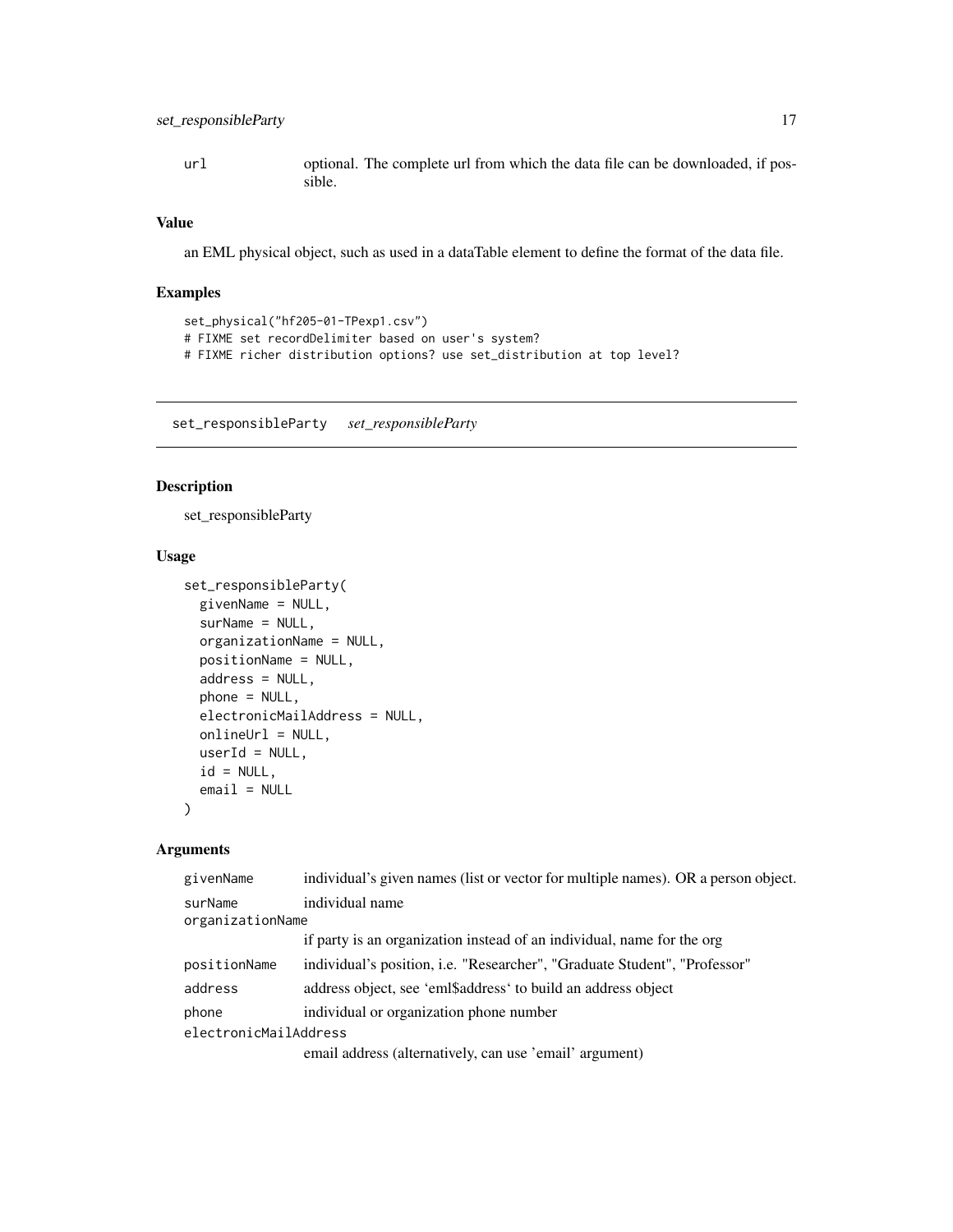#### <span id="page-16-0"></span>set\_responsibleParty 17

url optional. The complete url from which the data file can be downloaded, if possible.

#### Value

an EML physical object, such as used in a dataTable element to define the format of the data file.

#### Examples

```
set_physical("hf205-01-TPexp1.csv")
# FIXME set recordDelimiter based on user's system?
# FIXME richer distribution options? use set_distribution at top level?
```
set\_responsibleParty *set\_responsibleParty*

#### Description

set\_responsibleParty

#### Usage

```
set_responsibleParty(
 givenName = NULL,
 surName = NULL,
 organizationName = NULL,
 positionName = NULL,
 address = NULL,
 phone = NULL,
 electronicMailAddress = NULL,
 onlineUrl = NULL,
 userId = NULL,id = NULL,email = NULL)
```

| givenName             | individual's given names (list or vector for multiple names). OR a person object. |
|-----------------------|-----------------------------------------------------------------------------------|
| surName               | individual name                                                                   |
| organizationName      |                                                                                   |
|                       | if party is an organization instead of an individual, name for the org            |
| positionName          | individual's position, <i>i.e.</i> "Researcher", "Graduate Student", "Professor"  |
| address               | address object, see 'eml\$address' to build an address object                     |
| phone                 | individual or organization phone number                                           |
| electronicMailAddress |                                                                                   |
|                       | email address (alternatively, can use 'email' argument)                           |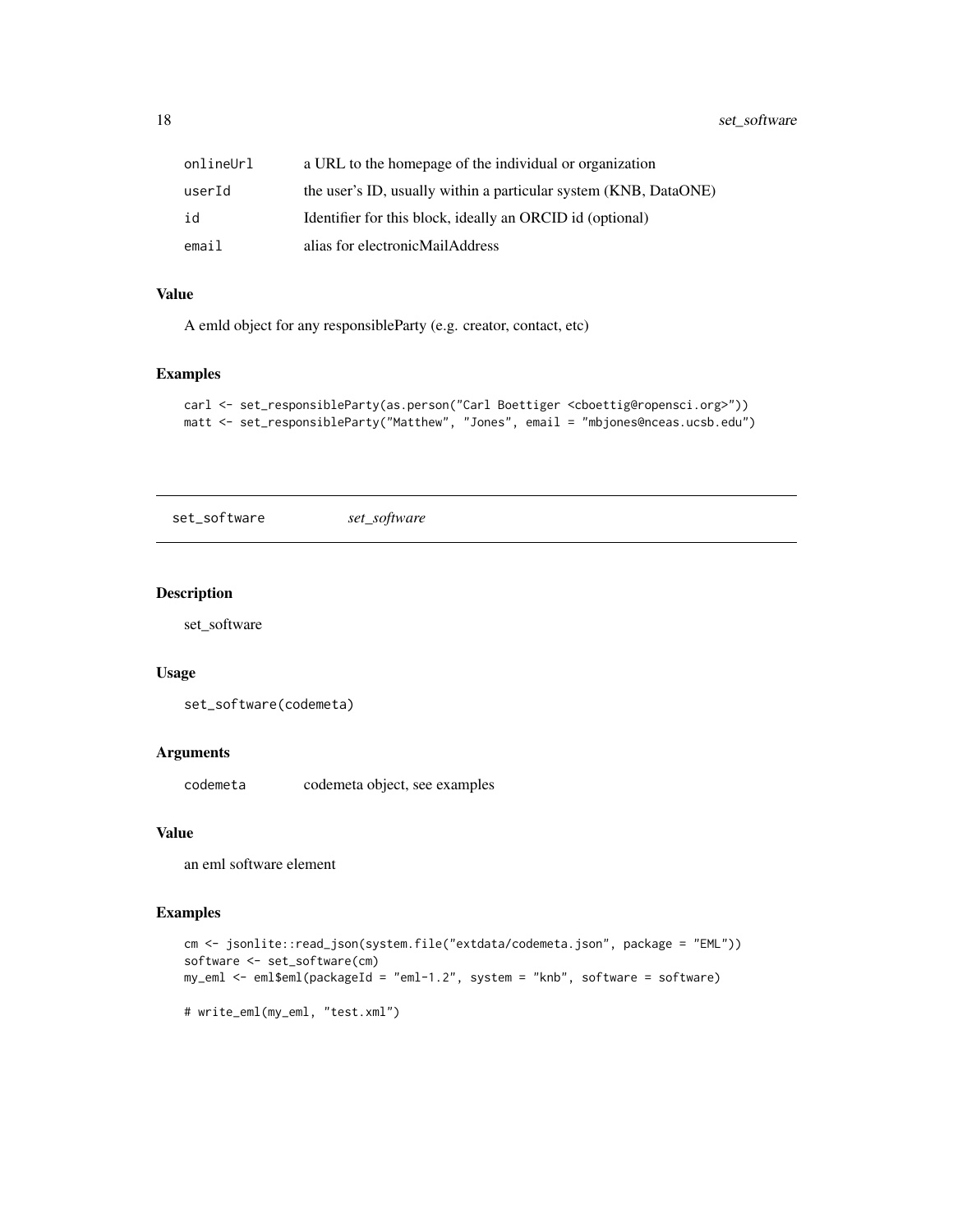<span id="page-17-0"></span>18 set\_software

| onlineUrl | a URL to the homepage of the individual or organization          |
|-----------|------------------------------------------------------------------|
| userId    | the user's ID, usually within a particular system (KNB, DataONE) |
| id        | Identifier for this block, ideally an ORCID id (optional)        |
| email     | alias for electronicMailAddress                                  |

#### Value

A emld object for any responsibleParty (e.g. creator, contact, etc)

#### Examples

```
carl <- set_responsibleParty(as.person("Carl Boettiger <cboettig@ropensci.org>"))
matt <- set_responsibleParty("Matthew", "Jones", email = "mbjones@nceas.ucsb.edu")
```
set\_software *set\_software*

#### Description

set\_software

#### Usage

```
set_software(codemeta)
```
#### Arguments

codemeta codemeta object, see examples

#### Value

an eml software element

#### Examples

```
cm <- jsonlite::read_json(system.file("extdata/codemeta.json", package = "EML"))
software <- set_software(cm)
my_eml <- eml$eml(packageId = "eml-1.2", system = "knb", software = software)
# write_eml(my_eml, "test.xml")
```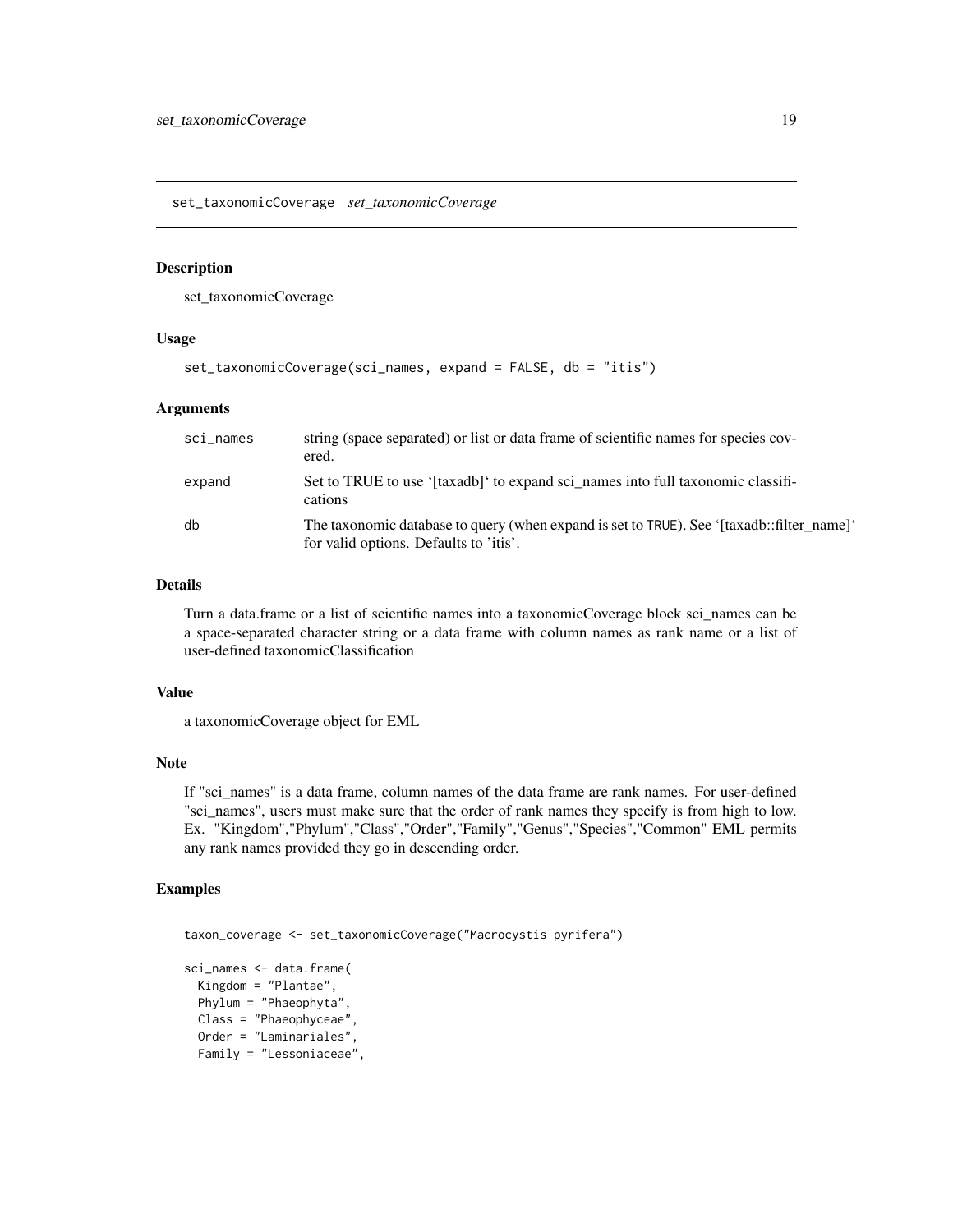<span id="page-18-0"></span>set\_taxonomicCoverage *set\_taxonomicCoverage*

#### Description

set\_taxonomicCoverage

#### Usage

```
set_taxonomicCoverage(sci_names, expand = FALSE, db = "itis")
```
#### Arguments

| sci_names | string (space separated) or list or data frame of scientific names for species cov-<br>ered.                                        |
|-----------|-------------------------------------------------------------------------------------------------------------------------------------|
| expand    | Set to TRUE to use '[taxadb]' to expand sci names into full taxonomic classifi-<br>cations                                          |
| db        | The taxonomic database to query (when expand is set to TRUE). See '[taxadb::filter name]'<br>for valid options. Defaults to 'itis'. |

#### Details

Turn a data.frame or a list of scientific names into a taxonomicCoverage block sci\_names can be a space-separated character string or a data frame with column names as rank name or a list of user-defined taxonomicClassification

#### Value

a taxonomicCoverage object for EML

#### Note

If "sci\_names" is a data frame, column names of the data frame are rank names. For user-defined "sci\_names", users must make sure that the order of rank names they specify is from high to low. Ex. "Kingdom","Phylum","Class","Order","Family","Genus","Species","Common" EML permits any rank names provided they go in descending order.

#### Examples

```
taxon_coverage <- set_taxonomicCoverage("Macrocystis pyrifera")
```

```
sci_names <- data.frame(
 Kingdom = "Plantae",
 Phylum = "Phaeophyta",
 Class = "Phaeophyceae",
 Order = "Laminariales",
 Family = "Lessoniaceae",
```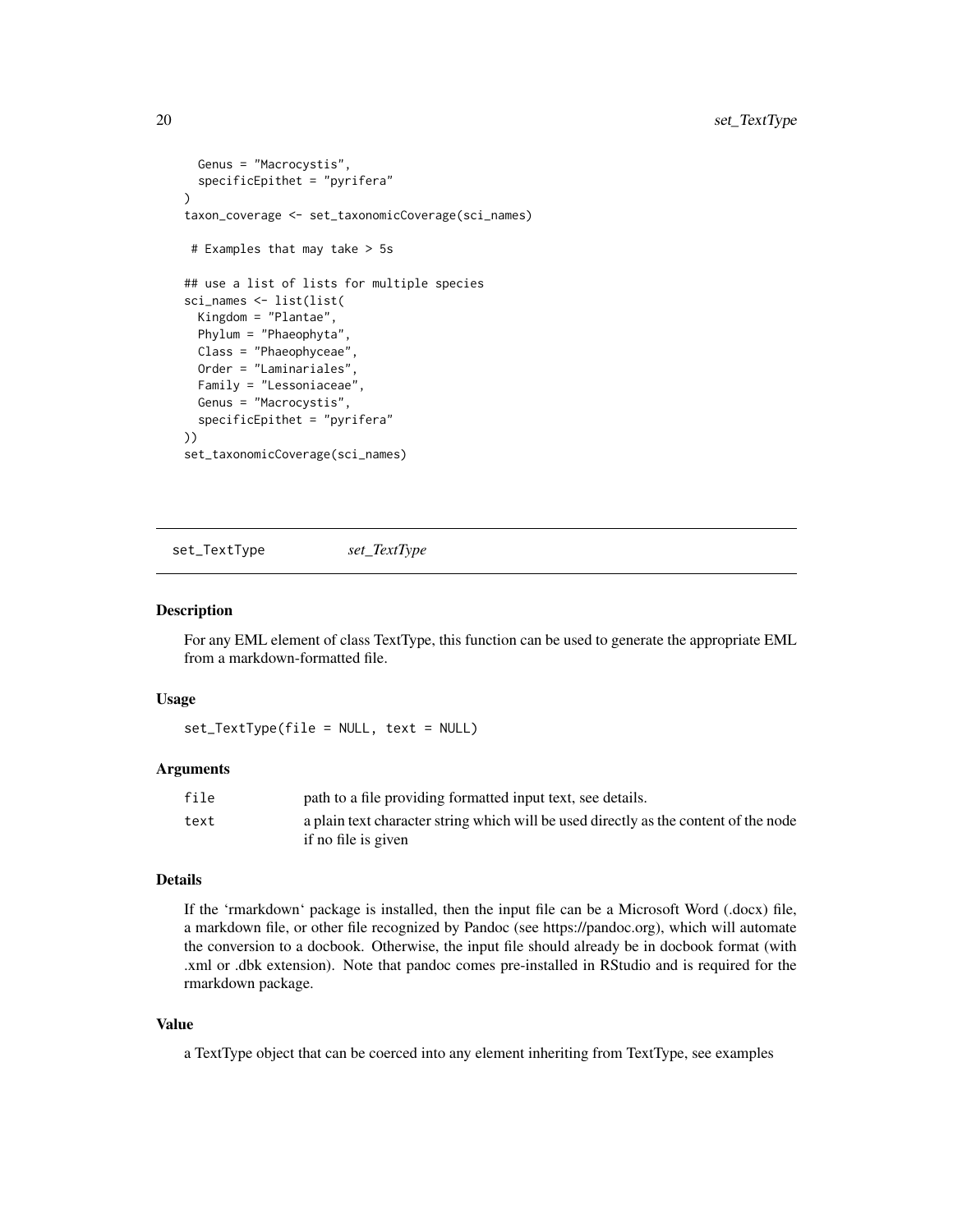```
Genus = "Macrocystis",
 specificEpithet = "pyrifera"
)
taxon_coverage <- set_taxonomicCoverage(sci_names)
# Examples that may take > 5s
## use a list of lists for multiple species
sci_names <- list(list(
 Kingdom = "Plantae",
 Phylum = "Phaeophyta",
 Class = "Phaeophyceae",
 Order = "Laminariales",
 Family = "Lessoniaceae"
 Genus = "Macrocystis",
 specificEpithet = "pyrifera"
))
set_taxonomicCoverage(sci_names)
```
set\_TextType *set\_TextType*

#### Description

For any EML element of class TextType, this function can be used to generate the appropriate EML from a markdown-formatted file.

#### Usage

set\_TextType(file = NULL, text = NULL)

#### Arguments

| file | path to a file providing formatted input text, see details.                          |
|------|--------------------------------------------------------------------------------------|
| text | a plain text character string which will be used directly as the content of the node |
|      | if no file is given                                                                  |

#### Details

If the 'rmarkdown' package is installed, then the input file can be a Microsoft Word (.docx) file, a markdown file, or other file recognized by Pandoc (see https://pandoc.org), which will automate the conversion to a docbook. Otherwise, the input file should already be in docbook format (with .xml or .dbk extension). Note that pandoc comes pre-installed in RStudio and is required for the rmarkdown package.

#### Value

a TextType object that can be coerced into any element inheriting from TextType, see examples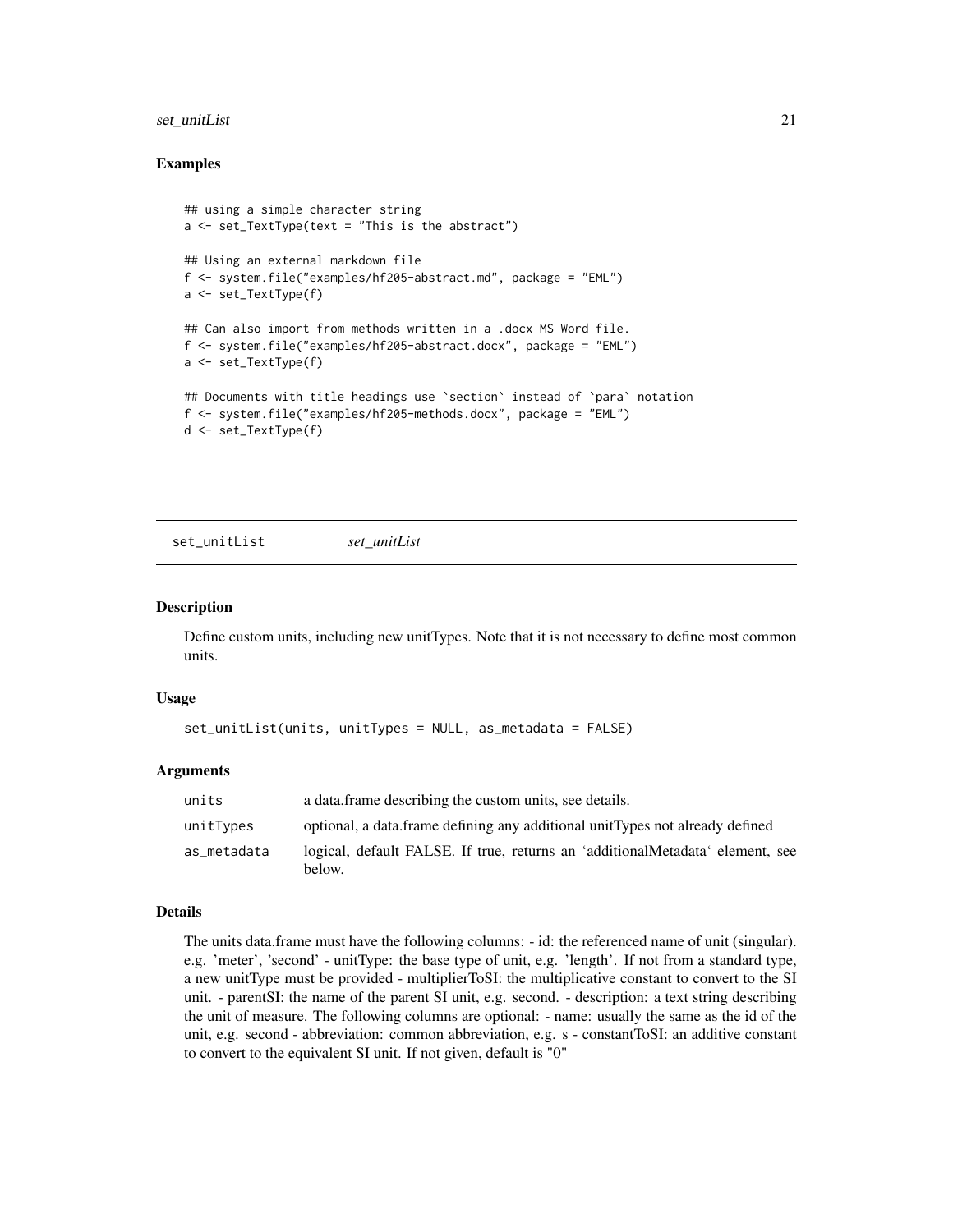#### <span id="page-20-0"></span>set\_unitList 21

#### Examples

```
## using a simple character string
a <- set_TextType(text = "This is the abstract")
## Using an external markdown file
f <- system.file("examples/hf205-abstract.md", package = "EML")
a <- set_TextType(f)
## Can also import from methods written in a .docx MS Word file.
f <- system.file("examples/hf205-abstract.docx", package = "EML")
a <- set_TextType(f)
## Documents with title headings use `section` instead of `para` notation
f <- system.file("examples/hf205-methods.docx", package = "EML")
d <- set_TextType(f)
```
set\_unitList *set\_unitList*

#### Description

Define custom units, including new unitTypes. Note that it is not necessary to define most common units.

#### Usage

```
set_unitList(units, unitTypes = NULL, as_metadata = FALSE)
```
#### Arguments

| units       | a data.frame describing the custom units, see details.                                  |
|-------------|-----------------------------------------------------------------------------------------|
| unitTypes   | optional, a data frame defining any additional unit Types not already defined           |
| as_metadata | logical, default FALSE. If true, returns an 'additionalMetadata' element, see<br>below. |

#### Details

The units data.frame must have the following columns: - id: the referenced name of unit (singular). e.g. 'meter', 'second' - unitType: the base type of unit, e.g. 'length'. If not from a standard type, a new unitType must be provided - multiplierToSI: the multiplicative constant to convert to the SI unit. - parentSI: the name of the parent SI unit, e.g. second. - description: a text string describing the unit of measure. The following columns are optional: - name: usually the same as the id of the unit, e.g. second - abbreviation: common abbreviation, e.g. s - constantToSI: an additive constant to convert to the equivalent SI unit. If not given, default is "0"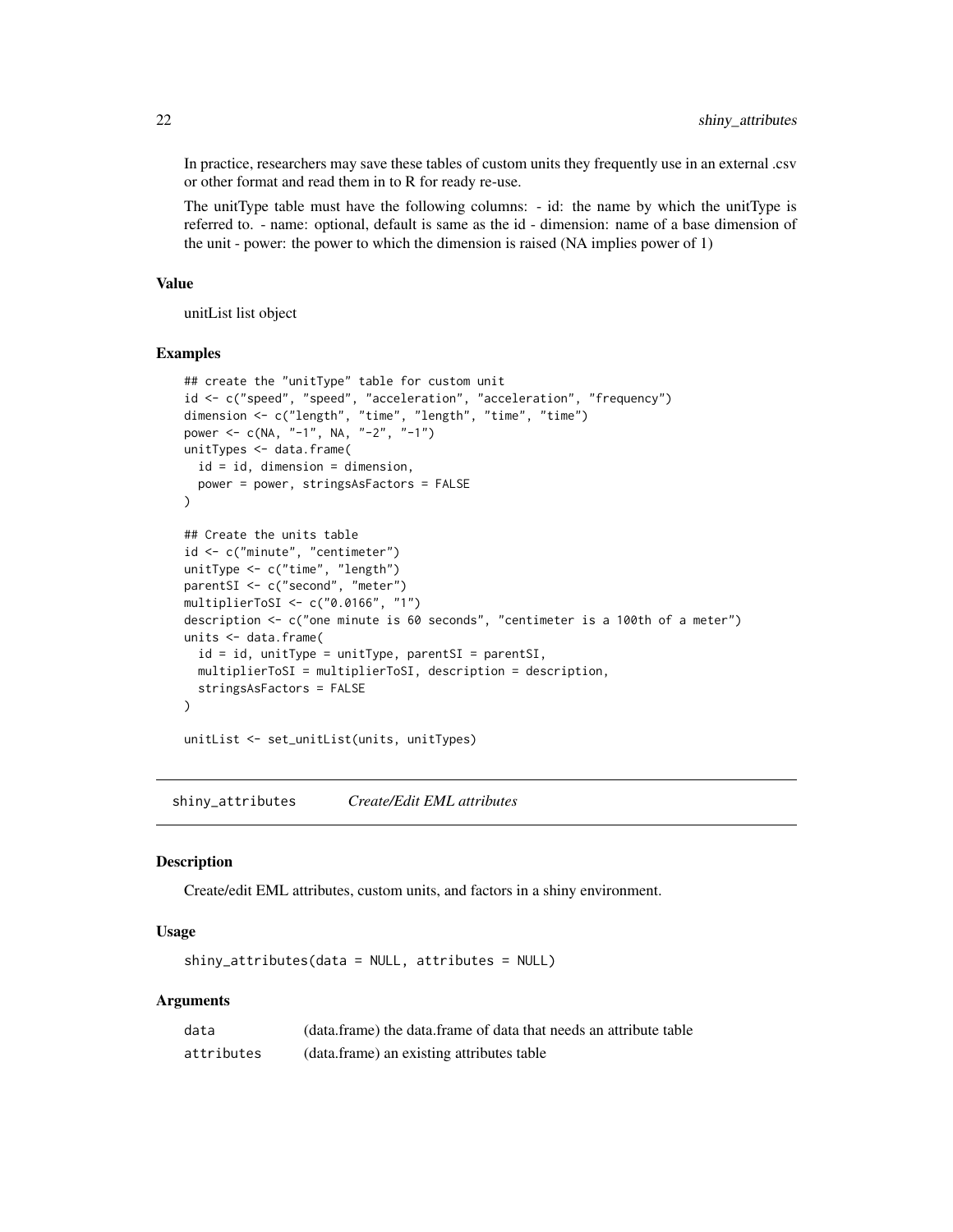In practice, researchers may save these tables of custom units they frequently use in an external .csv or other format and read them in to R for ready re-use.

The unitType table must have the following columns: - id: the name by which the unitType is referred to. - name: optional, default is same as the id - dimension: name of a base dimension of the unit - power: the power to which the dimension is raised (NA implies power of 1)

#### Value

unitList list object

#### Examples

```
## create the "unitType" table for custom unit
id <- c("speed", "speed", "acceleration", "acceleration", "frequency")
dimension <- c("length", "time", "length", "time", "time")
power <- c(NA, "-1", NA, "-2", "-1")
unitTypes <- data.frame(
  id = id, dimension = dimension,
  power = power, stringsAsFactors = FALSE
)
## Create the units table
id <- c("minute", "centimeter")
unitType <- c("time", "length")
parentSI <- c("second", "meter")
multiplierToSI <- c("0.0166", "1")
description <- c("one minute is 60 seconds", "centimeter is a 100th of a meter")
units <- data.frame(
  id = id, unitType = unitType, parentSI = parentSI,
  multiplierToSI = multiplierToSI, description = description,
  stringsAsFactors = FALSE
\lambdaunitList <- set_unitList(units, unitTypes)
```
shiny\_attributes *Create/Edit EML attributes*

#### **Description**

Create/edit EML attributes, custom units, and factors in a shiny environment.

#### Usage

shiny\_attributes(data = NULL, attributes = NULL)

| data       | (data.frame) the data.frame of data that needs an attribute table |
|------------|-------------------------------------------------------------------|
| attributes | (data.frame) an existing attributes table                         |

<span id="page-21-0"></span>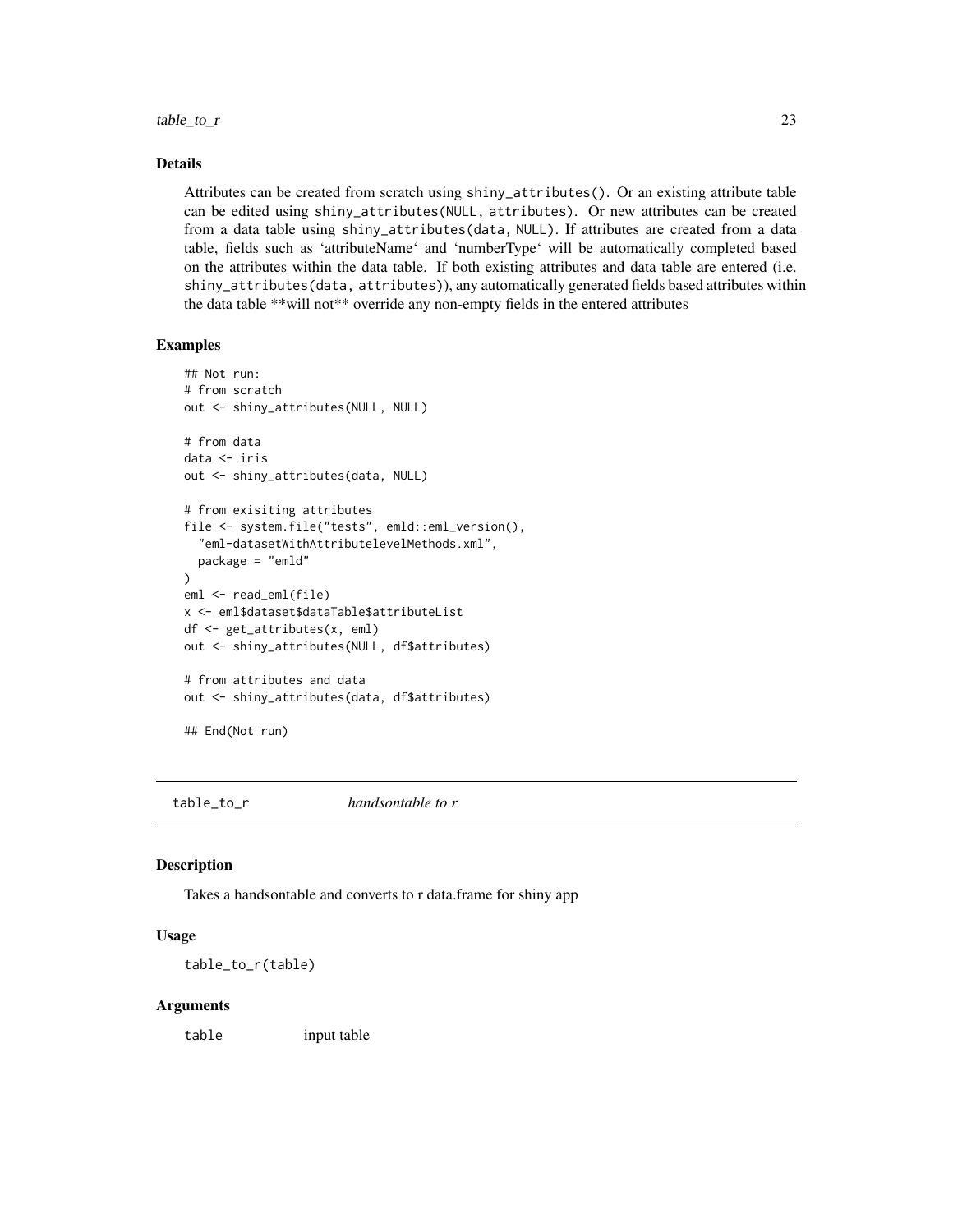#### <span id="page-22-0"></span>Details

Attributes can be created from scratch using shiny\_attributes(). Or an existing attribute table can be edited using shiny\_attributes(NULL, attributes). Or new attributes can be created from a data table using shiny\_attributes(data, NULL). If attributes are created from a data table, fields such as 'attributeName' and 'numberType' will be automatically completed based on the attributes within the data table. If both existing attributes and data table are entered (i.e. shiny\_attributes(data, attributes)), any automatically generated fields based attributes within the data table \*\*will not\*\* override any non-empty fields in the entered attributes

#### Examples

```
## Not run:
# from scratch
out <- shiny_attributes(NULL, NULL)
# from data
data <- iris
out <- shiny_attributes(data, NULL)
# from exisiting attributes
file <- system.file("tests", emld::eml_version(),
 "eml-datasetWithAttributelevelMethods.xml",
 package = "emld"
\lambdaeml <- read_eml(file)
x <- eml$dataset$dataTable$attributeList
df <- get_attributes(x, eml)
out <- shiny_attributes(NULL, df$attributes)
# from attributes and data
out <- shiny_attributes(data, df$attributes)
## End(Not run)
```
table\_to\_r *handsontable to r*

#### Description

Takes a handsontable and converts to r data.frame for shiny app

#### Usage

table\_to\_r(table)

#### Arguments

table input table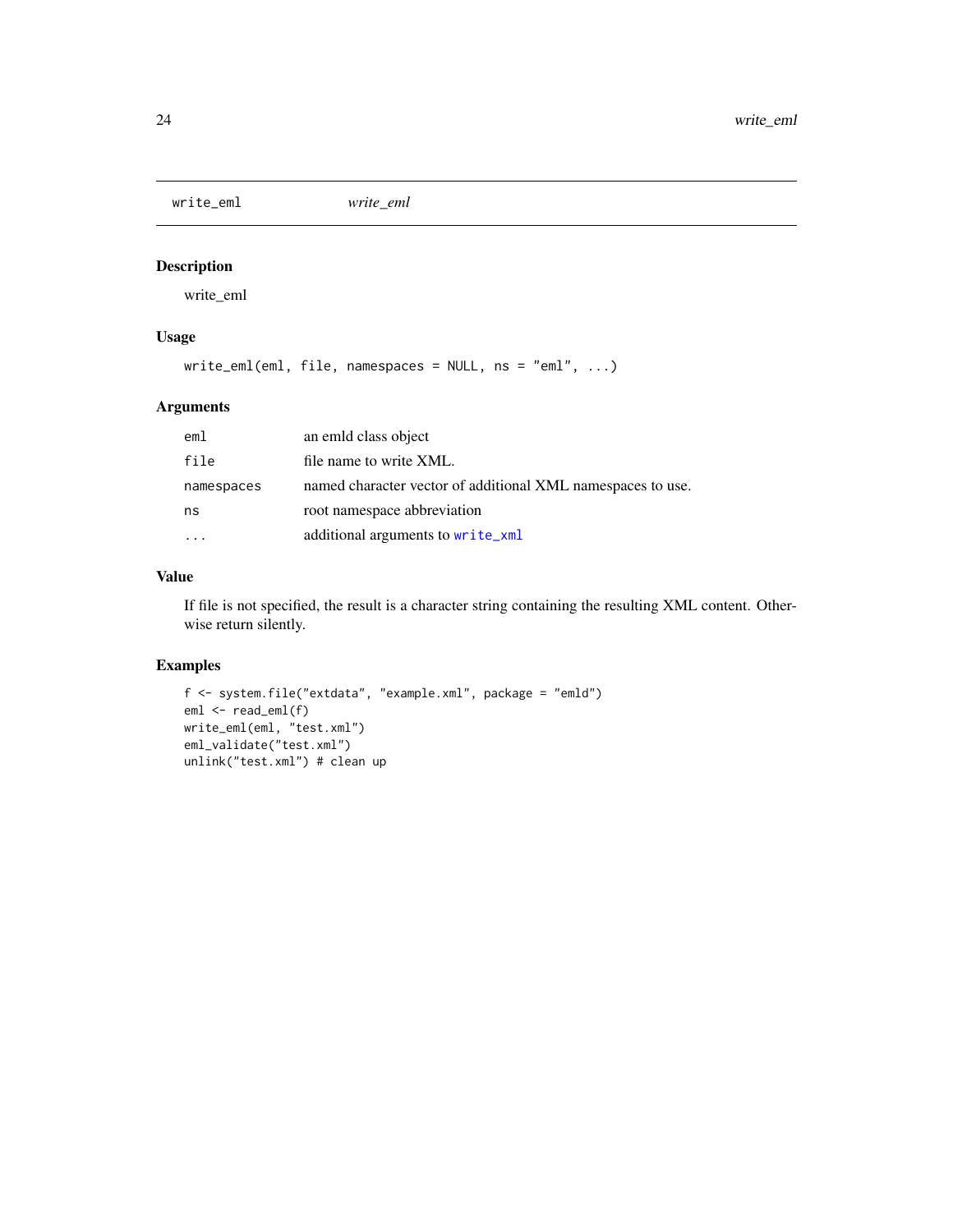<span id="page-23-0"></span>write\_eml *write\_eml*

#### Description

write\_eml

#### Usage

write\_eml(eml, file, namespaces = NULL, ns = "eml", ...)

#### Arguments

| em1        | an emild class object                                       |
|------------|-------------------------------------------------------------|
| file       | file name to write XML.                                     |
| namespaces | named character vector of additional XML namespaces to use. |
| ns         | root namespace abbreviation                                 |
|            | additional arguments to write_xml                           |

#### Value

If file is not specified, the result is a character string containing the resulting XML content. Otherwise return silently.

#### Examples

```
f <- system.file("extdata", "example.xml", package = "emld")
eml <- read_eml(f)
write_eml(eml, "test.xml")
eml_validate("test.xml")
unlink("test.xml") # clean up
```